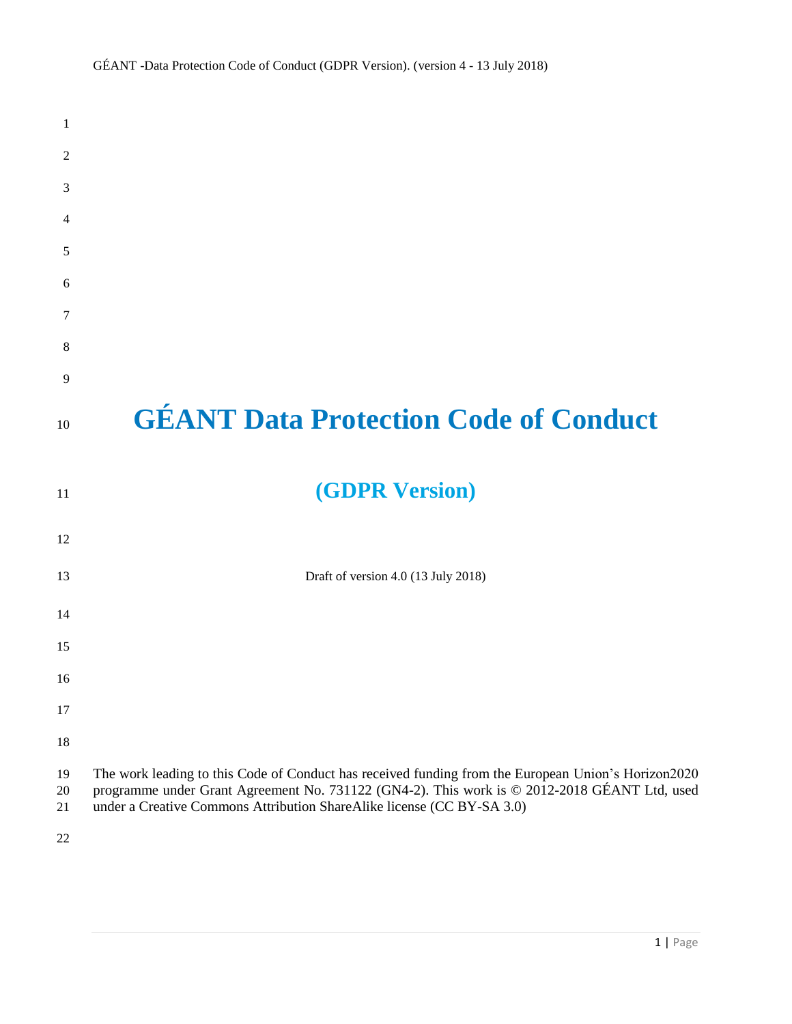| $\mathbf{1}$   |                                                                                                                                                                                                                                                                               |
|----------------|-------------------------------------------------------------------------------------------------------------------------------------------------------------------------------------------------------------------------------------------------------------------------------|
| 2              |                                                                                                                                                                                                                                                                               |
| 3              |                                                                                                                                                                                                                                                                               |
| 4              |                                                                                                                                                                                                                                                                               |
| 5              |                                                                                                                                                                                                                                                                               |
| 6              |                                                                                                                                                                                                                                                                               |
| 7              |                                                                                                                                                                                                                                                                               |
| 8              |                                                                                                                                                                                                                                                                               |
| 9              |                                                                                                                                                                                                                                                                               |
| 10             | <b>GÉANT Data Protection Code of Conduct</b>                                                                                                                                                                                                                                  |
| 11             | <b>(GDPR Version)</b>                                                                                                                                                                                                                                                         |
| 12             |                                                                                                                                                                                                                                                                               |
| 13             | Draft of version 4.0 (13 July 2018)                                                                                                                                                                                                                                           |
| 14             |                                                                                                                                                                                                                                                                               |
| 15             |                                                                                                                                                                                                                                                                               |
| 16             |                                                                                                                                                                                                                                                                               |
| 17             |                                                                                                                                                                                                                                                                               |
| 18             |                                                                                                                                                                                                                                                                               |
| 19<br>20<br>21 | The work leading to this Code of Conduct has received funding from the European Union's Horizon2020<br>programme under Grant Agreement No. 731122 (GN4-2). This work is © 2012-2018 GÉANT Ltd, used<br>under a Creative Commons Attribution ShareAlike license (CC BY-SA 3.0) |
| 22             |                                                                                                                                                                                                                                                                               |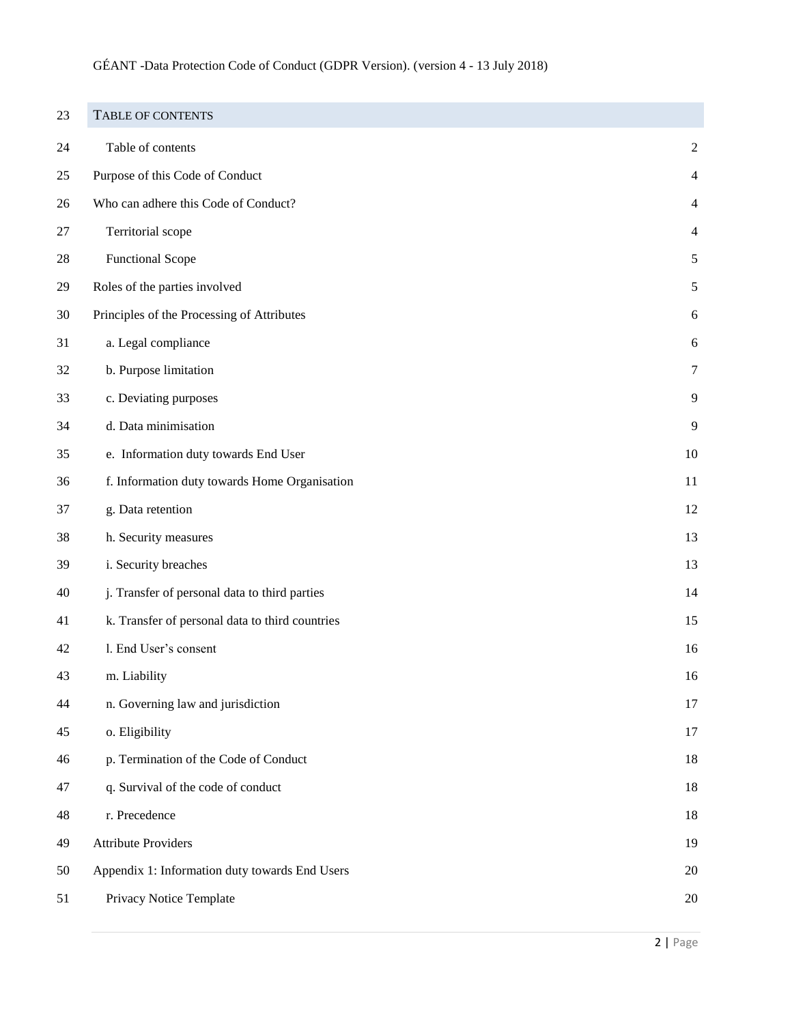<span id="page-1-0"></span>

| 23 | <b>TABLE OF CONTENTS</b>                        |                  |
|----|-------------------------------------------------|------------------|
| 24 | Table of contents                               | $\boldsymbol{2}$ |
| 25 | Purpose of this Code of Conduct                 | 4                |
| 26 | Who can adhere this Code of Conduct?            | $\overline{4}$   |
| 27 | Territorial scope                               | $\overline{4}$   |
| 28 | <b>Functional Scope</b>                         | $\sqrt{5}$       |
| 29 | Roles of the parties involved                   | 5                |
| 30 | Principles of the Processing of Attributes      | 6                |
| 31 | a. Legal compliance                             | 6                |
| 32 | b. Purpose limitation                           | $\tau$           |
| 33 | c. Deviating purposes                           | 9                |
| 34 | d. Data minimisation                            | 9                |
| 35 | e. Information duty towards End User            | 10               |
| 36 | f. Information duty towards Home Organisation   | 11               |
| 37 | g. Data retention                               | 12               |
| 38 | h. Security measures                            | 13               |
| 39 | i. Security breaches                            | 13               |
| 40 | j. Transfer of personal data to third parties   | 14               |
| 41 | k. Transfer of personal data to third countries | 15               |
| 42 | l. End User's consent                           | 16               |
| 43 | m. Liability                                    | 16               |
| 44 | n. Governing law and jurisdiction               | 17               |
| 45 | o. Eligibility                                  | 17               |
| 46 | p. Termination of the Code of Conduct           | 18               |
| 47 | q. Survival of the code of conduct              | 18               |
| 48 | r. Precedence                                   | 18               |
| 49 | <b>Attribute Providers</b>                      | 19               |
| 50 | Appendix 1: Information duty towards End Users  | 20               |
| 51 | Privacy Notice Template                         | 20               |
|    |                                                 |                  |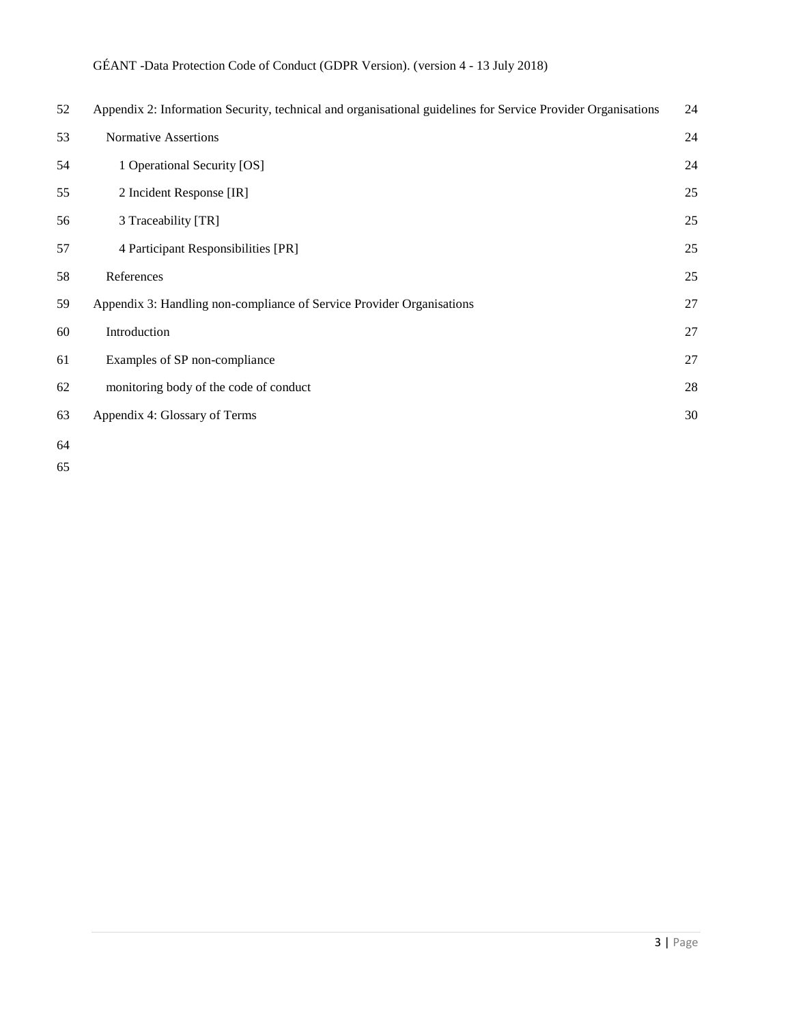| 52 | Appendix 2: Information Security, technical and organisational guidelines for Service Provider Organisations | 24 |
|----|--------------------------------------------------------------------------------------------------------------|----|
| 53 | <b>Normative Assertions</b>                                                                                  | 24 |
| 54 | 1 Operational Security [OS]                                                                                  | 24 |
| 55 | 2 Incident Response [IR]                                                                                     | 25 |
| 56 | 3 Traceability [TR]                                                                                          | 25 |
| 57 | 4 Participant Responsibilities [PR]                                                                          | 25 |
| 58 | References                                                                                                   | 25 |
| 59 | Appendix 3: Handling non-compliance of Service Provider Organisations                                        | 27 |
| 60 | Introduction                                                                                                 | 27 |
| 61 | Examples of SP non-compliance                                                                                | 27 |
| 62 | monitoring body of the code of conduct                                                                       | 28 |
| 63 | Appendix 4: Glossary of Terms                                                                                | 30 |
| 64 |                                                                                                              |    |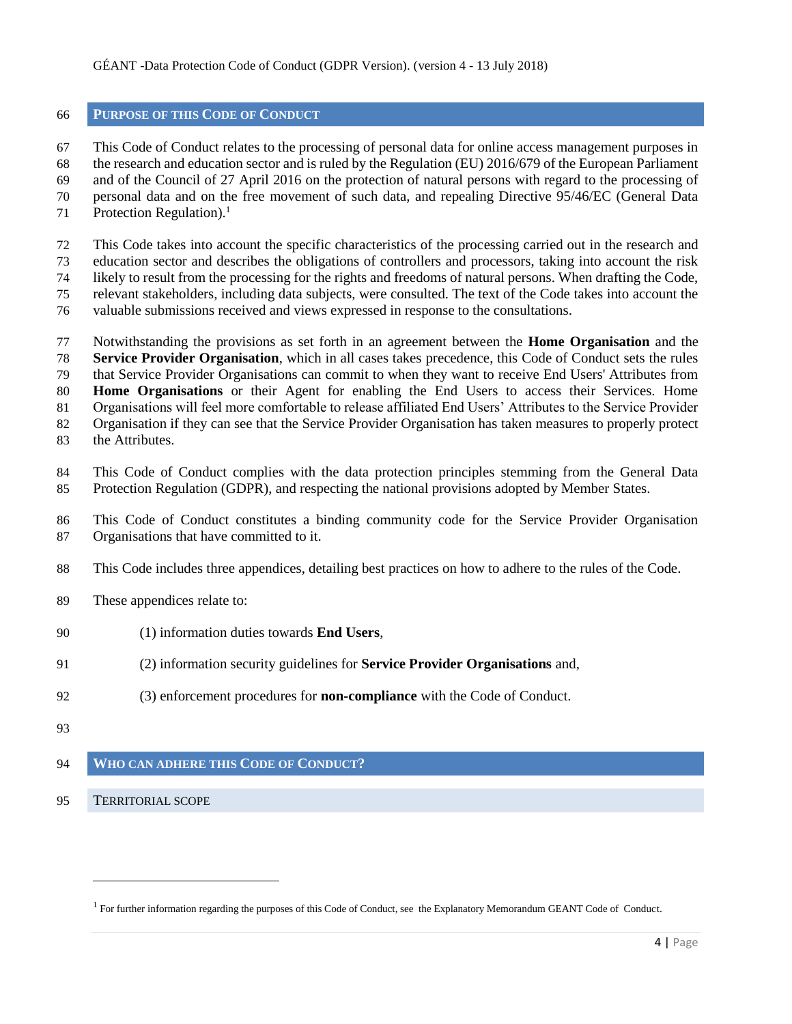# <span id="page-3-0"></span>**PURPOSE OF THIS CODE OF CONDUCT**

 This Code of Conduct relates to the processing of personal data for online access management purposes in the research and education sector and is ruled by the Regulation (EU) 2016/679 of the European Parliament and of the Council of 27 April 2016 on the protection of natural persons with regard to the processing of personal data and on the free movement of such data, and repealing Directive 95/46/EC (General Data Protection Regulation). $<sup>1</sup>$ </sup> 

- This Code takes into account the specific characteristics of the processing carried out in the research and education sector and describes the obligations of controllers and processors, taking into account the risk likely to result from the processing for the rights and freedoms of natural persons. When drafting the Code, relevant stakeholders, including data subjects, were consulted. The text of the Code takes into account the
- valuable submissions received and views expressed in response to the consultations.
- Notwithstanding the provisions as set forth in an agreement between the **Home Organisation** and the **Service Provider Organisation**, which in all cases takes precedence, this Code of Conduct sets the rules that Service Provider Organisations can commit to when they want to receive End Users' Attributes from **Home Organisations** or their Agent for enabling the End Users to access their Services. Home Organisations will feel more comfortable to release affiliated End Users' Attributes to the Service Provider Organisation if they can see that the Service Provider Organisation has taken measures to properly protect the Attributes.
- This Code of Conduct complies with the data protection principles stemming from the General Data Protection Regulation (GDPR), and respecting the national provisions adopted by Member States.
- This Code of Conduct constitutes a binding community code for the Service Provider Organisation Organisations that have committed to it.
- This Code includes three appendices, detailing best practices on how to adhere to the rules of the Code.
- These appendices relate to:
- (1) information duties towards **End Users**,
- (2) information security guidelines for **Service Provider Organisations** and,
- (3) enforcement procedures for **non-compliance** with the Code of Conduct.
- 

# <span id="page-3-2"></span><span id="page-3-1"></span>**WHO CAN ADHERE THIS CODE OF CONDUCT?**

TERRITORIAL SCOPE

l

<sup>&</sup>lt;sup>1</sup> For further information regarding the purposes of this Code of Conduct, see the Explanatory Memorandum GEANT Code of Conduct.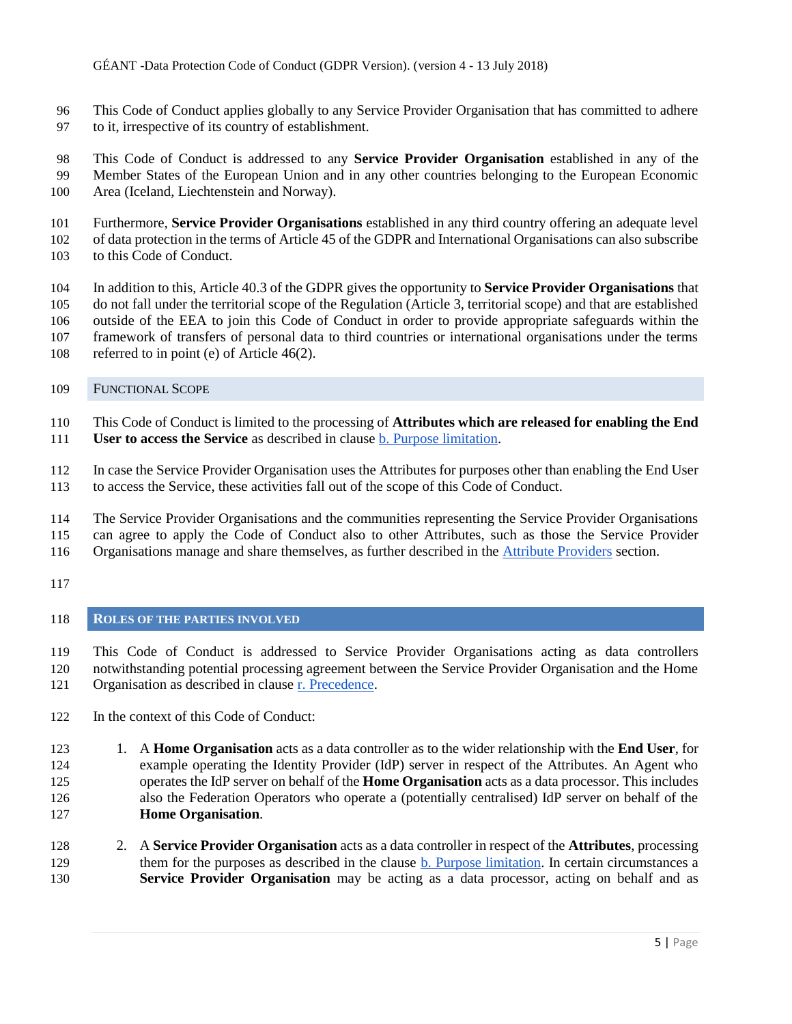- This Code of Conduct applies globally to any Service Provider Organisation that has committed to adhere to it, irrespective of its country of establishment.
- This Code of Conduct is addressed to any **Service Provider Organisation** established in any of the Member States of the European Union and in any other countries belonging to the European Economic Area (Iceland, Liechtenstein and Norway).
- Furthermore, **Service Provider Organisations** established in any third country offering an adequate level of data protection in the terms of Article 45 of the GDPR and International Organisations can also subscribe to this Code of Conduct.
- In addition to this, Article 40.3 of the GDPR gives the opportunity to **Service Provider Organisations** that do not fall under the territorial scope of the Regulation (Article 3, territorial scope) and that are established outside of the EEA to join this Code of Conduct in order to provide appropriate safeguards within the framework of transfers of personal data to third countries or international organisations under the terms referred to in point (e) of Article 46(2).
- <span id="page-4-0"></span>FUNCTIONAL SCOPE
- This Code of Conduct is limited to the processing of **Attributes which are released for enabling the End**
- **User to access the Service** as described in clause b. Purpose limitation.
- In case the Service Provider Organisation uses the Attributes for purposes other than enabling the End User to access the Service, these activities fall out of the scope of this Code of Conduct.
- 
- The Service Provider Organisations and the communities representing the Service Provider Organisations can agree to apply the Code of Conduct also to other Attributes, such as those the Service Provider
- Organisations manage and share themselves, as further described in the [Attribute Providers](#page-18-0) section.
- 

# <span id="page-4-1"></span>**ROLES OF THE PARTIES INVOLVED**

- This Code of Conduct is addressed to Service Provider Organisations acting as data controllers notwithstanding potential processing agreement between the Service Provider Organisation and the Home Organisation as described in clause r. Precedence.
- In the context of this Code of Conduct:
- 1. A **Home Organisation** acts as a data controller as to the wider relationship with the **End User**, for example operating the Identity Provider (IdP) server in respect of the Attributes. An Agent who operates the IdP server on behalf of the **Home Organisation** acts as a data processor. This includes also the Federation Operators who operate a (potentially centralised) IdP server on behalf of the **Home Organisation**.
- 2. A **Service Provider Organisation** acts as a data controller in respect of the **Attributes**, processing them for the purposes as described in the clause b. Purpose limitation. In certain circumstances a **Service Provider Organisation** may be acting as a data processor, acting on behalf and as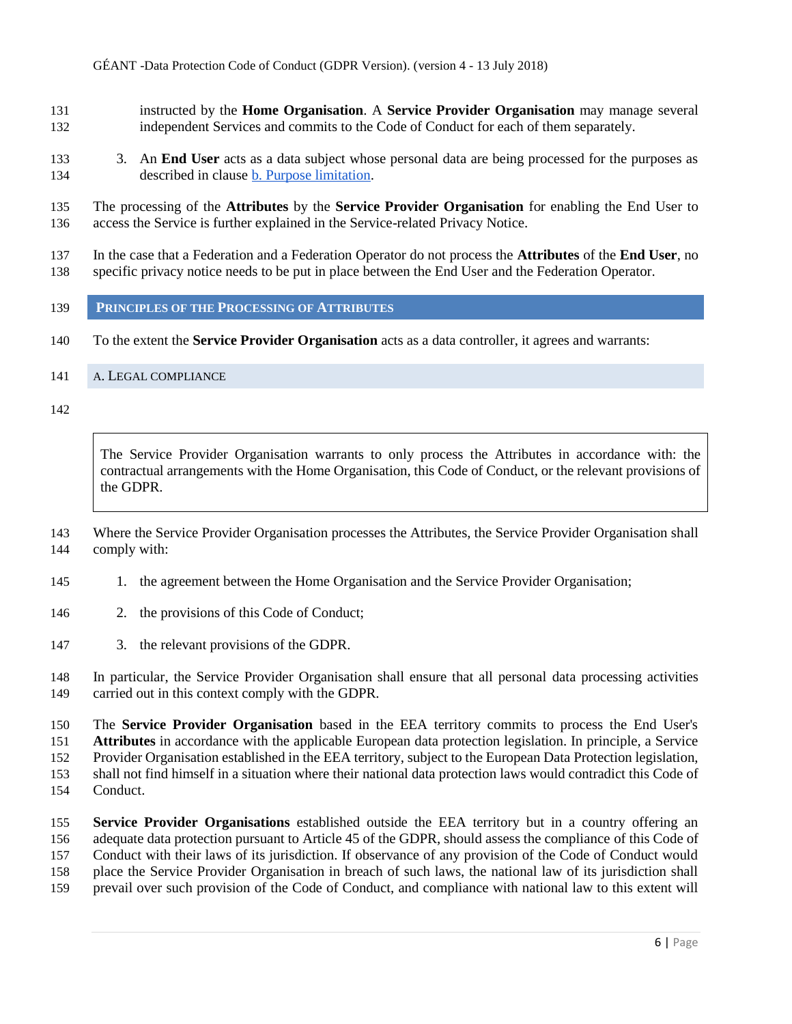- instructed by the **Home Organisation**. A **Service Provider Organisation** may manage several independent Services and commits to the Code of Conduct for each of them separately.
- 3. An **End User** acts as a data subject whose personal data are being processed for the purposes as described in clause b. Purpose limitation.

 The processing of the **Attributes** by the **Service Provider Organisation** for enabling the End User to access the Service is further explained in the Service-related Privacy Notice.

- In the case that a Federation and a Federation Operator do not process the **Attributes** of the **End User**, no specific privacy notice needs to be put in place between the End User and the Federation Operator.
- <span id="page-5-0"></span>**PRINCIPLES OF THE PROCESSING OF ATTRIBUTES**
- To the extent the **Service Provider Organisation** acts as a data controller, it agrees and warrants:
- <span id="page-5-1"></span>A. LEGAL COMPLIANCE

The Service Provider Organisation warrants to only process the Attributes in accordance with: the contractual arrangements with the Home Organisation, this Code of Conduct, or the relevant provisions of the GDPR.

 Where the Service Provider Organisation processes the Attributes, the Service Provider Organisation shall comply with:

- 145 1. the agreement between the Home Organisation and the Service Provider Organisation;
- 2. the provisions of this Code of Conduct;
- 3. the relevant provisions of the GDPR.

 In particular, the Service Provider Organisation shall ensure that all personal data processing activities carried out in this context comply with the GDPR.

 The **Service Provider Organisation** based in the EEA territory commits to process the End User's **Attributes** in accordance with the applicable European data protection legislation. In principle, a Service Provider Organisation established in the EEA territory, subject to the European Data Protection legislation, shall not find himself in a situation where their national data protection laws would contradict this Code of Conduct.

 **Service Provider Organisations** established outside the EEA territory but in a country offering an adequate data protection pursuant to Article 45 of the GDPR, should assess the compliance of this Code of Conduct with their laws of its jurisdiction. If observance of any provision of the Code of Conduct would place the Service Provider Organisation in breach of such laws, the national law of its jurisdiction shall prevail over such provision of the Code of Conduct, and compliance with national law to this extent will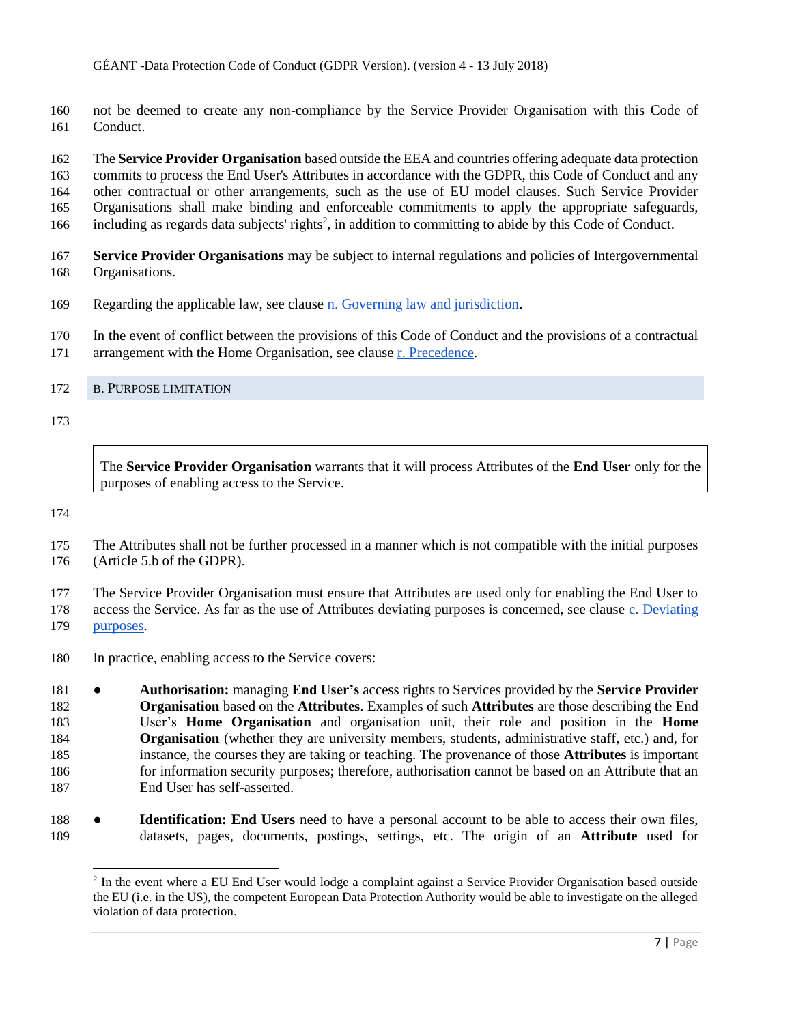not be deemed to create any non-compliance by the Service Provider Organisation with this Code of Conduct.

 The **Service Provider Organisation** based outside the EEA and countries offering adequate data protection commits to process the End User's Attributes in accordance with the GDPR, this Code of Conduct and any other contractual or other arrangements, such as the use of EU model clauses. Such Service Provider Organisations shall make binding and enforceable commitments to apply the appropriate safeguards, 166 including as regards data subjects' rights<sup>2</sup>, in addition to committing to abide by this Code of Conduct.

- **Service Provider Organisations** may be subject to internal regulations and policies of Intergovernmental Organisations.
- Regarding the applicable law, see clause n. Governing law and jurisdiction.
- In the event of conflict between the provisions of this Code of Conduct and the provisions of a contractual
- arrangement with the Home Organisation, see clause r. Precedence.

#### <span id="page-6-0"></span>B. PURPOSE LIMITATION

The **Service Provider Organisation** warrants that it will process Attributes of the **End User** only for the purposes of enabling access to the Service.

 The Attributes shall not be further processed in a manner which is not compatible with the initial purposes (Article 5.b of the GDPR).

The Service Provider Organisation must ensure that Attributes are used only for enabling the End User to

access the Service. As far as the use of Attributes deviating purposes is concerned, see clause c. Deviating

purposes.

 $\overline{a}$ 

In practice, enabling access to the Service covers:

 ● **Authorisation:** managing **End User's** access rights to Services provided by the **Service Provider Organisation** based on the **Attributes**. Examples of such **Attributes** are those describing the End User's **Home Organisation** and organisation unit, their role and position in the **Home Organisation** (whether they are university members, students, administrative staff, etc.) and, for instance, the courses they are taking or teaching. The provenance of those **Attributes** is important for information security purposes; therefore, authorisation cannot be based on an Attribute that an End User has self-asserted.

 ● **Identification: End Users** need to have a personal account to be able to access their own files, datasets, pages, documents, postings, settings, etc. The origin of an **Attribute** used for

<sup>&</sup>lt;sup>2</sup> In the event where a EU End User would lodge a complaint against a Service Provider Organisation based outside the EU (i.e. in the US), the competent European Data Protection Authority would be able to investigate on the alleged violation of data protection.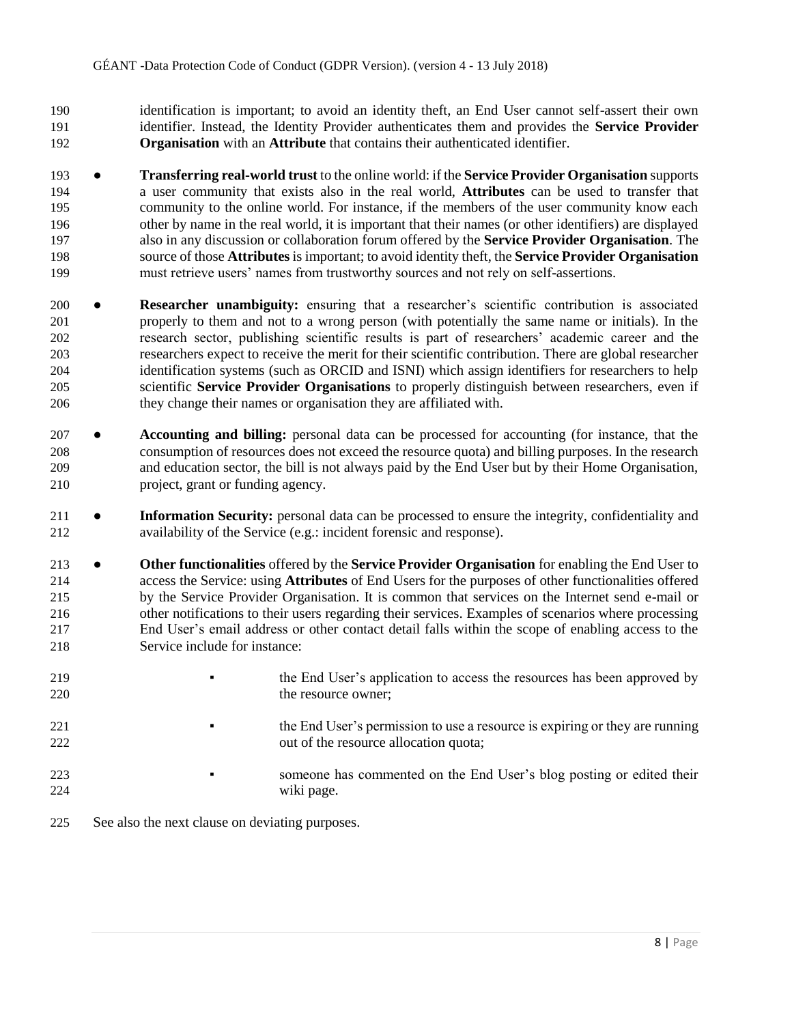- identification is important; to avoid an identity theft, an End User cannot self-assert their own identifier. Instead, the Identity Provider authenticates them and provides the **Service Provider Organisation** with an **Attribute** that contains their authenticated identifier.
- **Transferring real-world trust** to the online world: if the **Service Provider Organisation** supports a user community that exists also in the real world, **Attributes** can be used to transfer that community to the online world. For instance, if the members of the user community know each other by name in the real world, it is important that their names (or other identifiers) are displayed also in any discussion or collaboration forum offered by the **Service Provider Organisation**. The source of those **Attributes** is important; to avoid identity theft, the **Service Provider Organisation** must retrieve users' names from trustworthy sources and not rely on self-assertions.
- **Researcher unambiguity:** ensuring that a researcher's scientific contribution is associated properly to them and not to a wrong person (with potentially the same name or initials). In the research sector, publishing scientific results is part of researchers' academic career and the researchers expect to receive the merit for their scientific contribution. There are global researcher identification systems (such as ORCID and ISNI) which assign identifiers for researchers to help scientific **Service Provider Organisations** to properly distinguish between researchers, even if they change their names or organisation they are affiliated with.
- **Accounting and billing:** personal data can be processed for accounting (for instance, that the consumption of resources does not exceed the resource quota) and billing purposes. In the research and education sector, the bill is not always paid by the End User but by their Home Organisation, project, grant or funding agency.
- **11 Information Security:** personal data can be processed to ensure the integrity, confidentiality and availability of the Service (e.g.: incident forensic and response).
- **Other functionalities** offered by the **Service Provider Organisation** for enabling the End User to access the Service: using **Attributes** of End Users for the purposes of other functionalities offered by the Service Provider Organisation. It is common that services on the Internet send e-mail or other notifications to their users regarding their services. Examples of scenarios where processing End User's email address or other contact detail falls within the scope of enabling access to the Service include for instance:
- <sup>219</sup> **the End User's application to access the resources has been approved by** 220 the resource owner;
- <sup>221</sup> **the End User's permission to use a resource is expiring or they are running** 222 out of the resource allocation quota;
- <sup>223</sup> someone has commented on the End User's blog posting or edited their wiki page.
- See also the next clause on deviating purposes.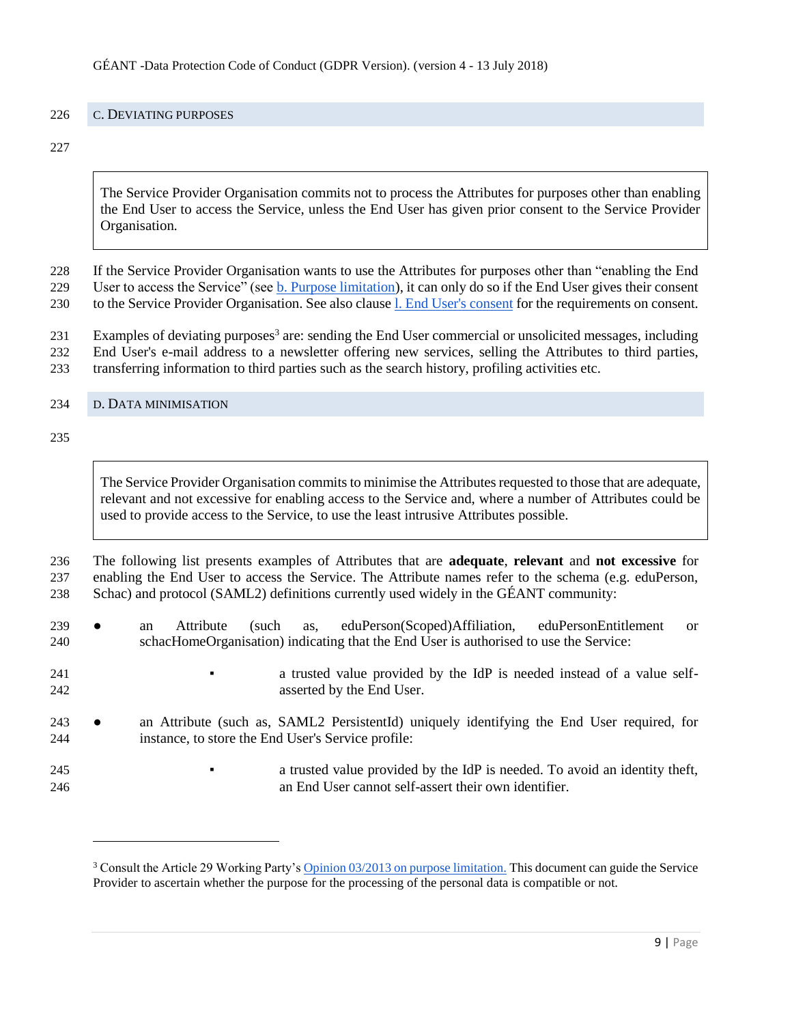#### <span id="page-8-0"></span>C. DEVIATING PURPOSES

The Service Provider Organisation commits not to process the Attributes for purposes other than enabling the End User to access the Service, unless the End User has given prior consent to the Service Provider Organisation.

 If the Service Provider Organisation wants to use the Attributes for purposes other than "enabling the End User to access the Service" (see b. Purpose limitation), it can only do so if the End User gives their consent to the Service Provider Organisation. See also clause l. End User's consent for the requirements on consent.

231 Examples of deviating purposes<sup>3</sup> are: sending the End User commercial or unsolicited messages, including End User's e-mail address to a newsletter offering new services, selling the Attributes to third parties,

transferring information to third parties such as the search history, profiling activities etc.

<span id="page-8-1"></span>D. DATA MINIMISATION

l

The Service Provider Organisation commits to minimise the Attributes requested to those that are adequate, relevant and not excessive for enabling access to the Service and, where a number of Attributes could be used to provide access to the Service, to use the least intrusive Attributes possible.

 The following list presents examples of Attributes that are **adequate**, **relevant** and **not excessive** for enabling the End User to access the Service. The Attribute names refer to the schema (e.g. eduPerson, Schac) and protocol (SAML2) definitions currently used widely in the GÉANT community:

- an Attribute (such as, eduPerson(Scoped)Affiliation, eduPersonEntitlement or schacHomeOrganisation) indicating that the End User is authorised to use the Service:
- **•** a trusted value provided by the IdP is needed instead of a value self-asserted by the End User.
- an Attribute (such as, SAML2 PersistentId) uniquely identifying the End User required, for instance, to store the End User's Service profile:
- a trusted value provided by the IdP is needed. To avoid an identity theft, an End User cannot self-assert their own identifier.

<sup>&</sup>lt;sup>3</sup> Consult the Article 29 Working Party's [Opinion 03/2013 on purpose limitation.](http://ec.europa.eu/justice/data-protection/article-29/documentation/opinion-recommendation/files/2013/wp203_en.pdf) This document can guide the Service Provider to ascertain whether the purpose for the processing of the personal data is compatible or not.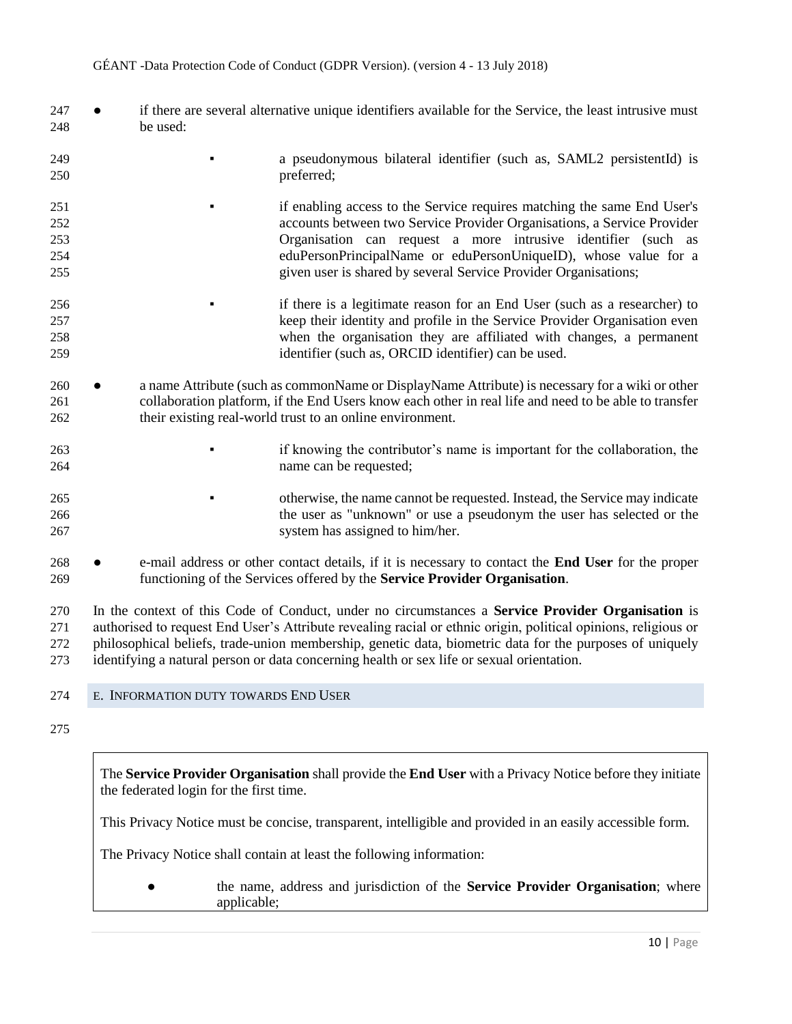- if there are several alternative unique identifiers available for the Service, the least intrusive must be used:
- **•** a pseudonymous bilateral identifier (such as, SAML2 persistentId) is preferred;
- if enabling access to the Service requires matching the same End User's accounts between two Service Provider Organisations, a Service Provider Organisation can request a more intrusive identifier (such as eduPersonPrincipalName or eduPersonUniqueID), whose value for a given user is shared by several Service Provider Organisations;
- if there is a legitimate reason for an End User (such as a researcher) to keep their identity and profile in the Service Provider Organisation even when the organisation they are affiliated with changes, a permanent identifier (such as, ORCID identifier) can be used.
- a name Attribute (such as commonName or DisplayName Attribute) is necessary for a wiki or other collaboration platform, if the End Users know each other in real life and need to be able to transfer their existing real-world trust to an online environment.
- if knowing the contributor's name is important for the collaboration, the name can be requested;
- **•** otherwise, the name cannot be requested. Instead, the Service may indicate the user as "unknown" or use a pseudonym the user has selected or the system has assigned to him/her.
- e-mail address or other contact details, if it is necessary to contact the **End User** for the proper functioning of the Services offered by the **Service Provider Organisation**.

 In the context of this Code of Conduct, under no circumstances a **Service Provider Organisation** is authorised to request End User's Attribute revealing racial or ethnic origin, political opinions, religious or philosophical beliefs, trade-union membership, genetic data, biometric data for the purposes of uniquely identifying a natural person or data concerning health or sex life or sexual orientation.

- <span id="page-9-0"></span>E. INFORMATION DUTY TOWARDS END USER
- 

The **Service Provider Organisation** shall provide the **End User** with a Privacy Notice before they initiate the federated login for the first time.

This Privacy Notice must be concise, transparent, intelligible and provided in an easily accessible form.

The Privacy Notice shall contain at least the following information:

● the name, address and jurisdiction of the **Service Provider Organisation**; where applicable;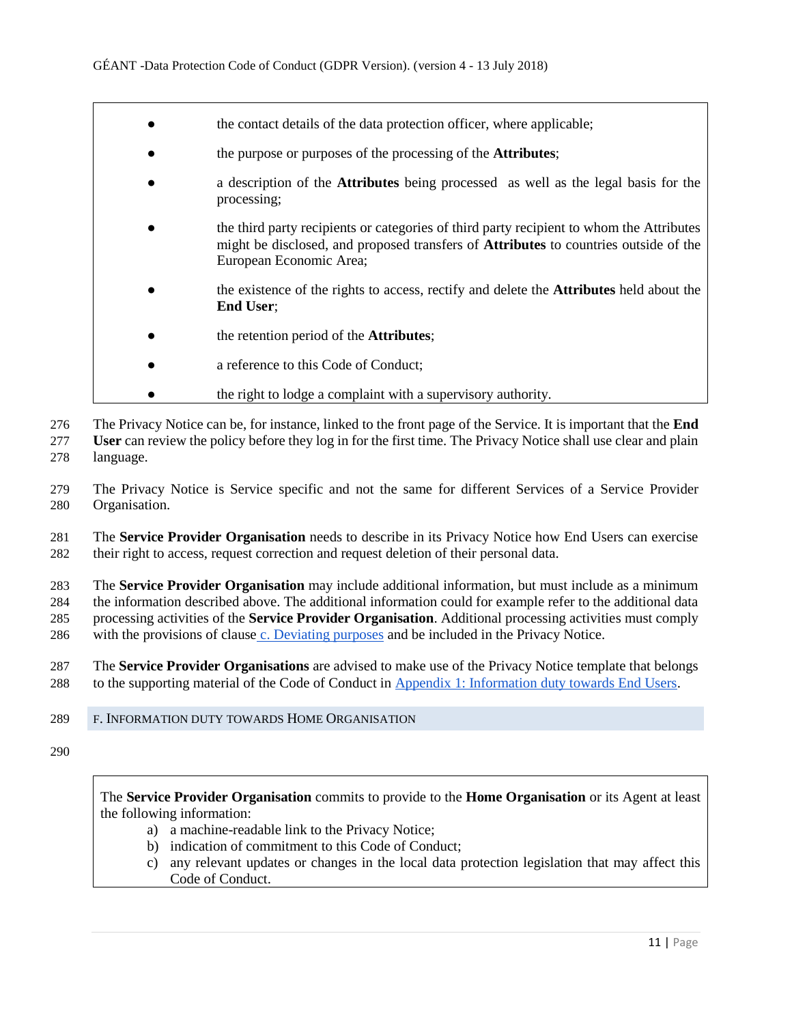- the contact details of the data protection officer, where applicable;
- the purpose or purposes of the processing of the **Attributes**;
- a description of the **Attributes** being processed as well as the legal basis for the processing;
- the third party recipients or categories of third party recipient to whom the Attributes might be disclosed, and proposed transfers of **Attributes** to countries outside of the European Economic Area;
- the existence of the rights to access, rectify and delete the **Attributes** held about the **End User**;
- the retention period of the **Attributes**;
- a reference to this Code of Conduct:
- the right to lodge a complaint with a supervisory authority.

276 The Privacy Notice can be, for instance, linked to the front page of the Service. It is important that the **End** 

- 277 **User** can review the policy before they log in for the first time. The Privacy Notice shall use clear and plain
- 278 language.

279 The Privacy Notice is Service specific and not the same for different Services of a Service Provider 280 Organisation.

281 The **Service Provider Organisation** needs to describe in its Privacy Notice how End Users can exercise 282 their right to access, request correction and request deletion of their personal data.

 The **Service Provider Organisation** may include additional information, but must include as a minimum the information described above. The additional information could for example refer to the additional data processing activities of the **Service Provider Organisation**. Additional processing activities must comply with the provisions of clause c. Deviating purposes and be included in the Privacy Notice.

287 The **Service Provider Organisations** are advised to make use of the Privacy Notice template that belongs 288 to the supporting material of the Code of Conduct in Appendix 1: Information duty towards End Users.

- <span id="page-10-0"></span>289 F. INFORMATION DUTY TOWARDS HOME ORGANISATION
- 290

The **Service Provider Organisation** commits to provide to the **Home Organisation** or its Agent at least the following information:

- a) a machine-readable link to the Privacy Notice;
- b) indication of commitment to this Code of Conduct;
- c) any relevant updates or changes in the local data protection legislation that may affect this Code of Conduct.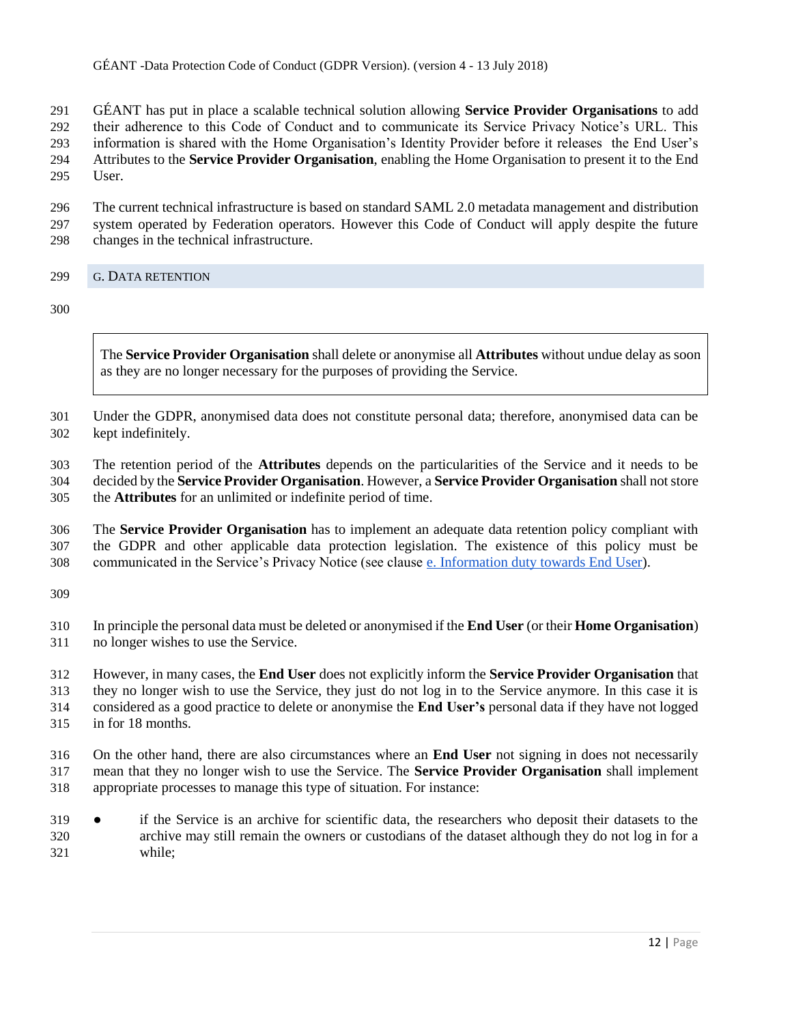GÉANT has put in place a scalable technical solution allowing **Service Provider Organisations** to add their adherence to this Code of Conduct and to communicate its Service Privacy Notice's URL. This information is shared with the Home Organisation's Identity Provider before it releases the End User's Attributes to the **Service Provider Organisation**, enabling the Home Organisation to present it to the End User.

 The current technical infrastructure is based on standard SAML 2.0 metadata management and distribution system operated by Federation operators. However this Code of Conduct will apply despite the future changes in the technical infrastructure.

# <span id="page-11-0"></span>G. DATA RETENTION

The **Service Provider Organisation** shall delete or anonymise all **Attributes** without undue delay as soon as they are no longer necessary for the purposes of providing the Service.

 Under the GDPR, anonymised data does not constitute personal data; therefore, anonymised data can be kept indefinitely.

 The retention period of the **Attributes** depends on the particularities of the Service and it needs to be decided by the **Service Provider Organisation**. However, a **Service Provider Organisation** shall not store the **Attributes** for an unlimited or indefinite period of time.

 The **Service Provider Organisation** has to implement an adequate data retention policy compliant with the GDPR and other applicable data protection legislation. The existence of this policy must be communicated in the Service's Privacy Notice (see clause e. Information duty towards End User).

 In principle the personal data must be deleted or anonymised if the **End User** (or their **Home Organisation**) no longer wishes to use the Service.

 However, in many cases, the **End User** does not explicitly inform the **Service Provider Organisation** that they no longer wish to use the Service, they just do not log in to the Service anymore. In this case it is considered as a good practice to delete or anonymise the **End User's** personal data if they have not logged in for 18 months.

 On the other hand, there are also circumstances where an **End User** not signing in does not necessarily mean that they no longer wish to use the Service. The **Service Provider Organisation** shall implement appropriate processes to manage this type of situation. For instance:

 ● if the Service is an archive for scientific data, the researchers who deposit their datasets to the archive may still remain the owners or custodians of the dataset although they do not log in for a while;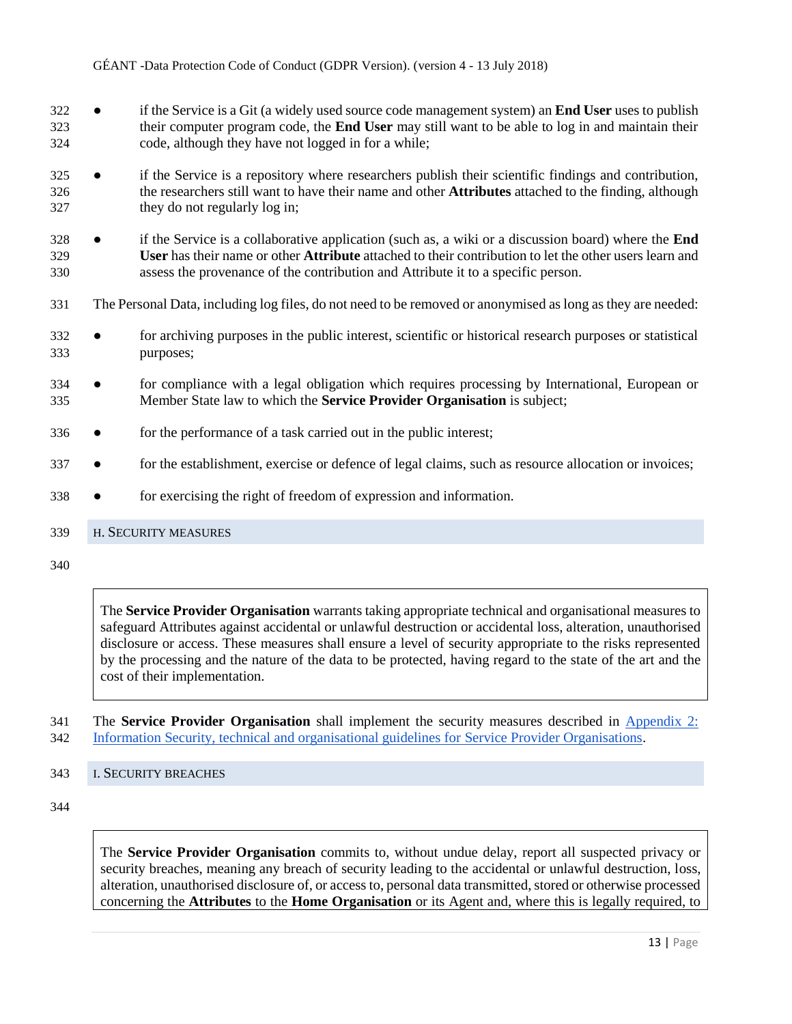- if the Service is a Git (a widely used source code management system) an **End User** uses to publish their computer program code, the **End User** may still want to be able to log in and maintain their code, although they have not logged in for a while;
- if the Service is a repository where researchers publish their scientific findings and contribution, the researchers still want to have their name and other **Attributes** attached to the finding, although they do not regularly log in;
- if the Service is a collaborative application (such as, a wiki or a discussion board) where the **End User** has their name or other **Attribute** attached to their contribution to let the other users learn and assess the provenance of the contribution and Attribute it to a specific person.
- The Personal Data, including log files, do not need to be removed or anonymised as long as they are needed:
- for archiving purposes in the public interest, scientific or historical research purposes or statistical purposes;
- for compliance with a legal obligation which requires processing by International, European or Member State law to which the **Service Provider Organisation** is subject;
- for the performance of a task carried out in the public interest;
- 337 for the establishment, exercise or defence of legal claims, such as resource allocation or invoices;
- for exercising the right of freedom of expression and information.

#### <span id="page-12-0"></span>H. SECURITY MEASURES

The **Service Provider Organisation** warrants taking appropriate technical and organisational measures to safeguard Attributes against accidental or unlawful destruction or accidental loss, alteration, unauthorised disclosure or access. These measures shall ensure a level of security appropriate to the risks represented by the processing and the nature of the data to be protected, having regard to the state of the art and the cost of their implementation.

 The **Service Provider Organisation** shall implement the security measures described in Appendix 2: Information Security, technical and organisational guidelines for Service Provider Organisations.

<span id="page-12-1"></span>I. SECURITY BREACHES

The **Service Provider Organisation** commits to, without undue delay, report all suspected privacy or security breaches, meaning any breach of security leading to the accidental or unlawful destruction, loss, alteration, unauthorised disclosure of, or access to, personal data transmitted, stored or otherwise processed concerning the **Attributes** to the **Home Organisation** or its Agent and, where this is legally required, to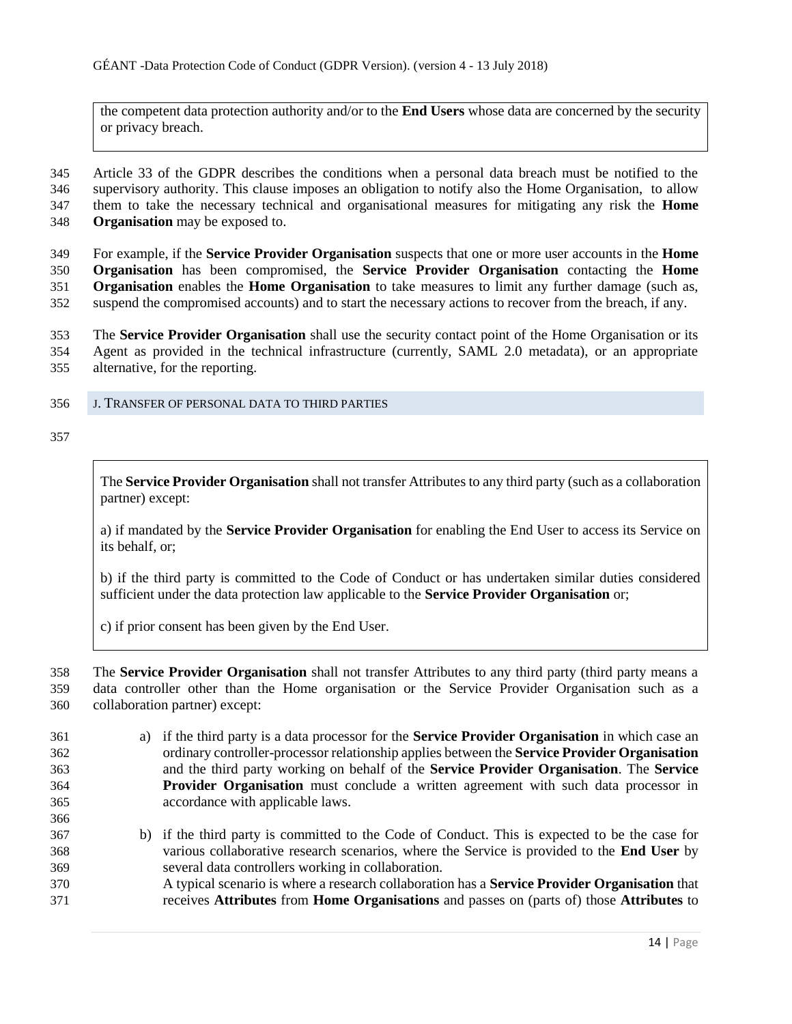the competent data protection authority and/or to the **End Users** whose data are concerned by the security or privacy breach.

 Article 33 of the GDPR describes the conditions when a personal data breach must be notified to the supervisory authority. This clause imposes an obligation to notify also the Home Organisation, to allow them to take the necessary technical and organisational measures for mitigating any risk the **Home Organisation** may be exposed to.

 For example, if the **Service Provider Organisation** suspects that one or more user accounts in the **Home Organisation** has been compromised, the **Service Provider Organisation** contacting the **Home Organisation** enables the **Home Organisation** to take measures to limit any further damage (such as, suspend the compromised accounts) and to start the necessary actions to recover from the breach, if any.

 The **Service Provider Organisation** shall use the security contact point of the Home Organisation or its Agent as provided in the technical infrastructure (currently, SAML 2.0 metadata), or an appropriate alternative, for the reporting.

<span id="page-13-0"></span>J. TRANSFER OF PERSONAL DATA TO THIRD PARTIES

The **Service Provider Organisation** shall not transfer Attributes to any third party (such as a collaboration partner) except:

a) if mandated by the **Service Provider Organisation** for enabling the End User to access its Service on its behalf, or;

b) if the third party is committed to the Code of Conduct or has undertaken similar duties considered sufficient under the data protection law applicable to the **Service Provider Organisation** or;

c) if prior consent has been given by the End User.

 The **Service Provider Organisation** shall not transfer Attributes to any third party (third party means a data controller other than the Home organisation or the Service Provider Organisation such as a collaboration partner) except:

- a) if the third party is a data processor for the **Service Provider Organisation** in which case an ordinary controller-processor relationship applies between the **Service Provider Organisation** and the third party working on behalf of the **Service Provider Organisation**. The **Service Provider Organisation** must conclude a written agreement with such data processor in accordance with applicable laws.
- b) if the third party is committed to the Code of Conduct. This is expected to be the case for various collaborative research scenarios, where the Service is provided to the **End User** by several data controllers working in collaboration.
- A typical scenario is where a research collaboration has a **Service Provider Organisation** that receives **Attributes** from **Home Organisations** and passes on (parts of) those **Attributes** to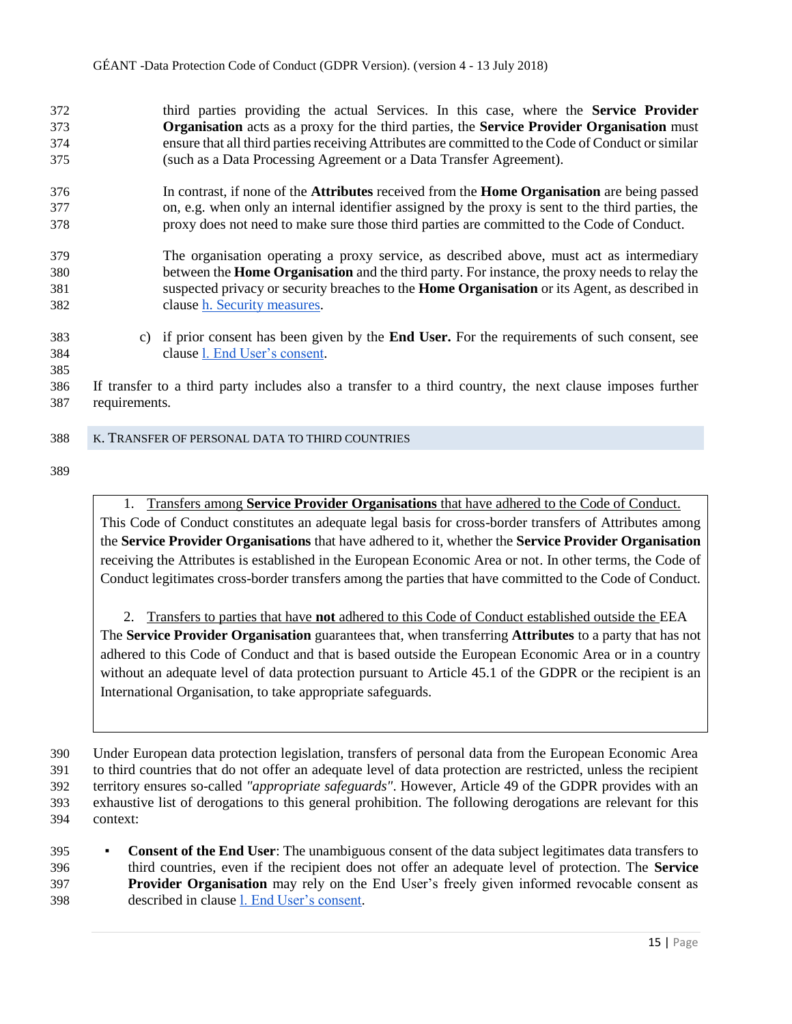third parties providing the actual Services. In this case, where the **Service Provider Organisation** acts as a proxy for the third parties, the **Service Provider Organisation** must ensure that all third parties receiving Attributes are committed to the Code of Conduct or similar (such as a Data Processing Agreement or a Data Transfer Agreement).

- In contrast, if none of the **Attributes** received from the **Home Organisation** are being passed on, e.g. when only an internal identifier assigned by the proxy is sent to the third parties, the proxy does not need to make sure those third parties are committed to the Code of Conduct.
- The organisation operating a proxy service, as described above, must act as intermediary between the **Home Organisation** and the third party. For instance, the proxy needs to relay the suspected privacy or security breaches to the **Home Organisation** or its Agent, as described in clause h. Security measures.
- c) if prior consent has been given by the **End User.** For the requirements of such consent, see clause l. End User's consent.
- If transfer to a third party includes also a transfer to a third country, the next clause imposes further requirements.

#### <span id="page-14-0"></span>K. TRANSFER OF PERSONAL DATA TO THIRD COUNTRIES

1. Transfers among **Service Provider Organisations** that have adhered to the Code of Conduct. This Code of Conduct constitutes an adequate legal basis for cross-border transfers of Attributes among the **Service Provider Organisations** that have adhered to it, whether the **Service Provider Organisation** receiving the Attributes is established in the European Economic Area or not. In other terms, the Code of Conduct legitimates cross-border transfers among the parties that have committed to the Code of Conduct.

2. Transfers to parties that have **not** adhered to this Code of Conduct established outside the EEA The **Service Provider Organisation** guarantees that, when transferring **Attributes** to a party that has not adhered to this Code of Conduct and that is based outside the European Economic Area or in a country without an adequate level of data protection pursuant to Article 45.1 of the GDPR or the recipient is an International Organisation, to take appropriate safeguards.

**• Consent of the End User**: The unambiguous consent of the data subject legitimates data transfers to third countries, even if the recipient does not offer an adequate level of protection. The **Service Provider Organisation** may rely on the End User's freely given informed revocable consent as described in clause l. End User's consent.

 Under European data protection legislation, transfers of personal data from the European Economic Area to third countries that do not offer an adequate level of data protection are restricted, unless the recipient territory ensures so-called *"appropriate safeguards"*. However, Article 49 of the GDPR provides with an exhaustive list of derogations to this general prohibition. The following derogations are relevant for this context: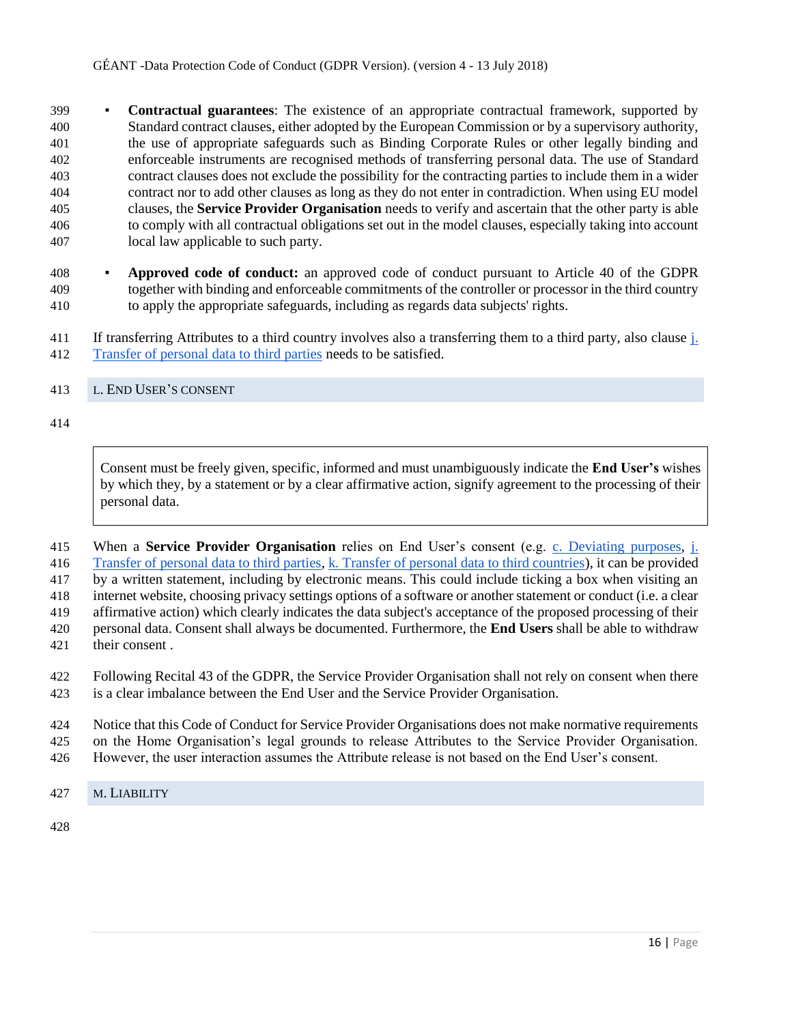▪ **Contractual guarantees**: The existence of an appropriate contractual framework, supported by Standard contract clauses, either adopted by the European Commission or by a supervisory authority, the use of appropriate safeguards such as Binding Corporate Rules or other legally binding and enforceable instruments are recognised methods of transferring personal data. The use of Standard contract clauses does not exclude the possibility for the contracting parties to include them in a wider contract nor to add other clauses as long as they do not enter in contradiction. When using EU model clauses, the **Service Provider Organisation** needs to verify and ascertain that the other party is able to comply with all contractual obligations set out in the model clauses, especially taking into account local law applicable to such party.

- **Approved code of conduct:** an approved code of conduct pursuant to Article 40 of the GDPR together with binding and enforceable commitments of the controller or processor in the third country to apply the appropriate safeguards, including as regards data subjects' rights.
- If transferring Attributes to a third country involves also a transferring them to a third party, also clause j. Transfer of personal data to third parties needs to be satisfied.
- <span id="page-15-0"></span>L. END USER'S CONSENT

Consent must be freely given, specific, informed and must unambiguously indicate the **End User's** wishes by which they, by a statement or by a clear affirmative action, signify agreement to the processing of their personal data.

 When a **Service Provider Organisation** relies on End User's consent (e.g. c. Deviating purposes, j. Transfer of personal data to third parties, k. Transfer of personal data to third countries), it can be provided by a written statement, including by electronic means. This could include ticking a box when visiting an internet website, choosing privacy settings options of a software or another statement or conduct (i.e. a clear affirmative action) which clearly indicates the data subject's acceptance of the proposed processing of their personal data. Consent shall always be documented. Furthermore, the **End Users** shall be able to withdraw their consent .

 Following Recital 43 of the GDPR, the Service Provider Organisation shall not rely on consent when there is a clear imbalance between the End User and the Service Provider Organisation.

 Notice that this Code of Conduct for Service Provider Organisations does not make normative requirements on the Home Organisation's legal grounds to release Attributes to the Service Provider Organisation.

- However, the user interaction assumes the Attribute release is not based on the End User's consent.
- <span id="page-15-1"></span>M. LIABILITY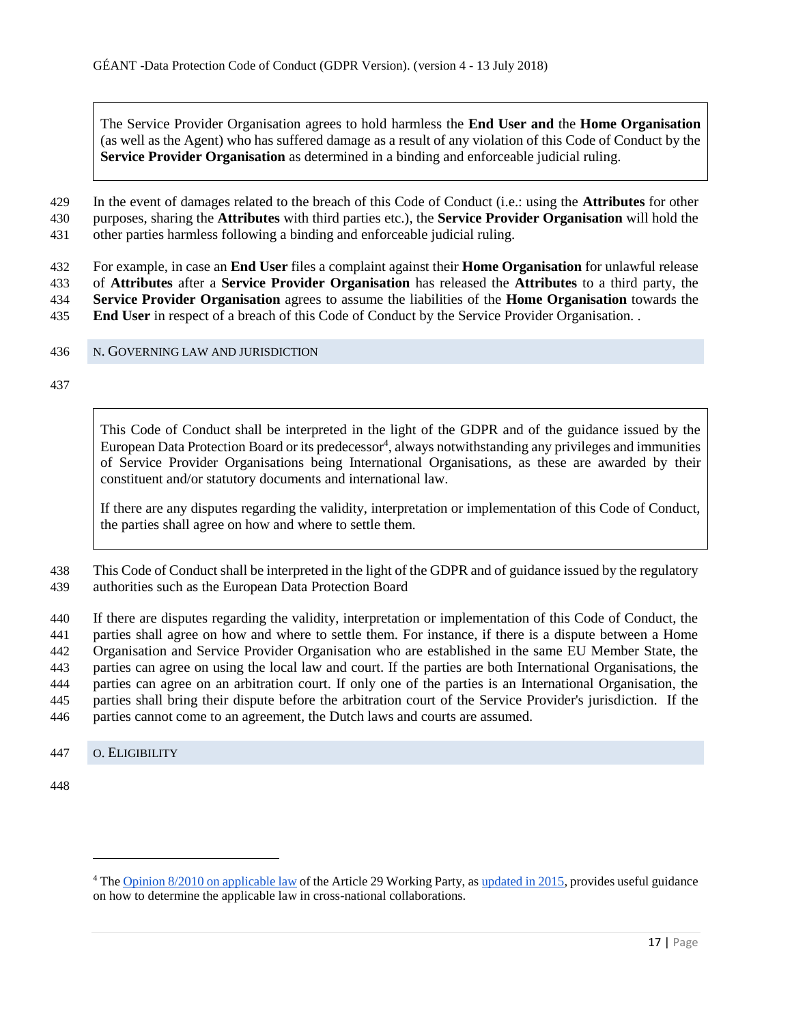The Service Provider Organisation agrees to hold harmless the **End User and** the **Home Organisation** (as well as the Agent) who has suffered damage as a result of any violation of this Code of Conduct by the **Service Provider Organisation** as determined in a binding and enforceable judicial ruling.

 In the event of damages related to the breach of this Code of Conduct (i.e.: using the **Attributes** for other purposes, sharing the **Attributes** with third parties etc.), the **Service Provider Organisation** will hold the other parties harmless following a binding and enforceable judicial ruling.

 For example, in case an **End User** files a complaint against their **Home Organisation** for unlawful release of **Attributes** after a **Service Provider Organisation** has released the **Attributes** to a third party, the **Service Provider Organisation** agrees to assume the liabilities of the **Home Organisation** towards the **End User** in respect of a breach of this Code of Conduct by the Service Provider Organisation. .

<span id="page-16-0"></span>N. GOVERNING LAW AND JURISDICTION

This Code of Conduct shall be interpreted in the light of the GDPR and of the guidance issued by the European Data Protection Board or its predecessor<sup>4</sup>, always notwithstanding any privileges and immunities of Service Provider Organisations being International Organisations, as these are awarded by their constituent and/or statutory documents and international law.

If there are any disputes regarding the validity, interpretation or implementation of this Code of Conduct, the parties shall agree on how and where to settle them.

 This Code of Conduct shall be interpreted in the light of the GDPR and of guidance issued by the regulatory authorities such as the European Data Protection Board

 If there are disputes regarding the validity, interpretation or implementation of this Code of Conduct, the parties shall agree on how and where to settle them. For instance, if there is a dispute between a Home Organisation and Service Provider Organisation who are established in the same EU Member State, the parties can agree on using the local law and court. If the parties are both International Organisations, the parties can agree on an arbitration court. If only one of the parties is an International Organisation, the parties shall bring their dispute before the arbitration court of the Service Provider's jurisdiction. If the parties cannot come to an agreement, the Dutch laws and courts are assumed.

<span id="page-16-1"></span>O. ELIGIBILITY

 $\overline{a}$ 

 Th[e](http://ec.europa.eu/justice/data-protection/article-29/documentation/opinion-recommendation/files/2010/wp179_en.pdf) [Opinion 8/2010 on applicable law](http://ec.europa.eu/justice/data-protection/article-29/documentation/opinion-recommendation/files/2010/wp179_en.pdf) of the Article 29 Working Party, as [updated in 2015,](http://ec.europa.eu/justice/data-protection/article-29/documentation/opinion-recommendation/files/2015/wp179_en_update.pdf) provides useful guidance on how to determine the applicable law in cross-national collaborations.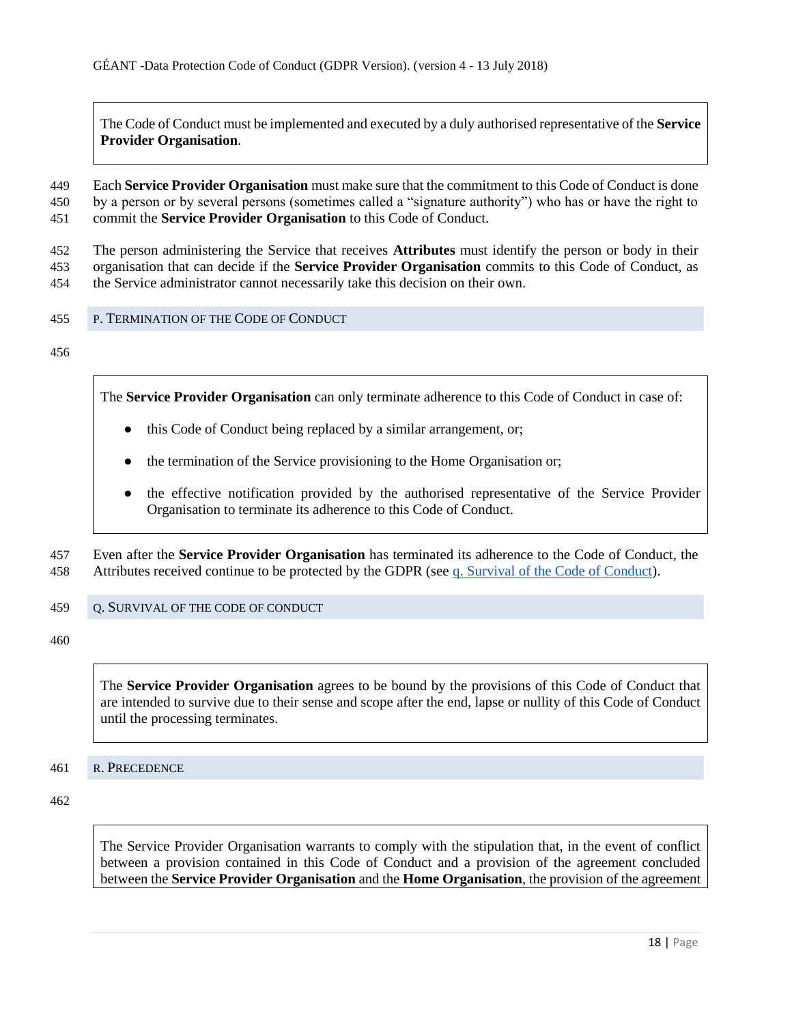The Code of Conduct must be implemented and executed by a duly authorised representative of the **Service Provider Organisation**.

449 Each **Service Provider Organisation** must make sure that the commitment to this Code of Conduct is done 450 by a person or by several persons (sometimes called a "signature authority") who has or have the right to 451 commit the **Service Provider Organisation** to this Code of Conduct.

452 The person administering the Service that receives **Attributes** must identify the person or body in their 453 organisation that can decide if the **Service Provider Organisation** commits to this Code of Conduct, as 454 the Service administrator cannot necessarily take this decision on their own.

- <span id="page-17-0"></span>455 P. TERMINATION OF THE CODE OF CONDUCT
- 456

The **Service Provider Organisation** can only terminate adherence to this Code of Conduct in case of:

- this Code of Conduct being replaced by a similar arrangement, or;
- the termination of the Service provisioning to the Home Organisation or;
- the effective notification provided by the authorised representative of the Service Provider Organisation to terminate its adherence to this Code of Conduct.

457 Even after the **Service Provider Organisation** has terminated its adherence to the Code of Conduct, the 458 Attributes received continue to be protected by the GDPR (see q. Survival of the Code of Conduct).

<span id="page-17-1"></span>459 Q. SURVIVAL OF THE CODE OF CONDUCT

460

The **Service Provider Organisation** agrees to be bound by the provisions of this Code of Conduct that are intended to survive due to their sense and scope after the end, lapse or nullity of this Code of Conduct until the processing terminates.

<span id="page-17-2"></span>461 R. PRECEDENCE

462

The Service Provider Organisation warrants to comply with the stipulation that, in the event of conflict between a provision contained in this Code of Conduct and a provision of the agreement concluded between the **Service Provider Organisation** and the **Home Organisation**, the provision of the agreement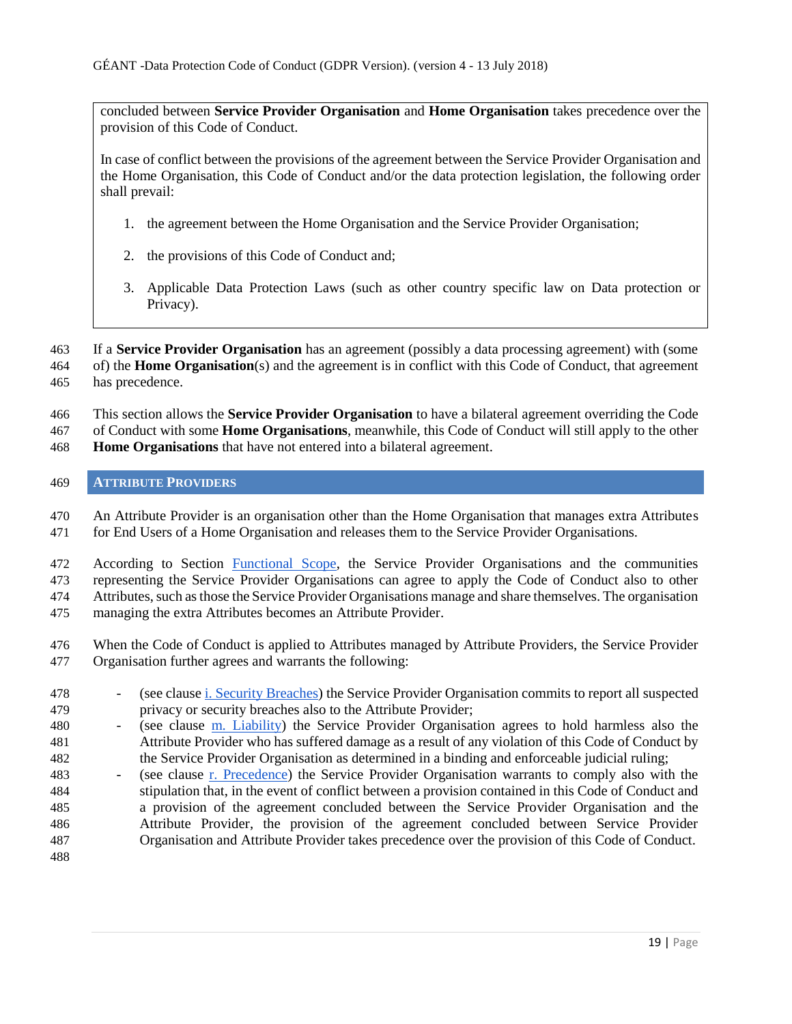concluded between **Service Provider Organisation** and **Home Organisation** takes precedence over the provision of this Code of Conduct.

In case of conflict between the provisions of the agreement between the Service Provider Organisation and the Home Organisation, this Code of Conduct and/or the data protection legislation, the following order shall prevail:

- 1. the agreement between the Home Organisation and the Service Provider Organisation;
- 2. the provisions of this Code of Conduct and;
- 3. Applicable Data Protection Laws (such as other country specific law on Data protection or Privacy).

 If a **Service Provider Organisation** has an agreement (possibly a data processing agreement) with (some of) the **Home Organisation**(s) and the agreement is in conflict with this Code of Conduct, that agreement has precedence.

This section allows the **Service Provider Organisation** to have a bilateral agreement overriding the Code

of Conduct with some **Home Organisations**, meanwhile, this Code of Conduct will still apply to the other

**Home Organisations** that have not entered into a bilateral agreement.

## <span id="page-18-0"></span>**ATTRIBUTE PROVIDERS**

 An Attribute Provider is an organisation other than the Home Organisation that manages extra Attributes for End Users of a Home Organisation and releases them to the Service Provider Organisations.

 According to Section Functional Scope, the Service Provider Organisations and the communities representing the Service Provider Organisations can agree to apply the Code of Conduct also to other Attributes, such as those the Service Provider Organisations manage and share themselves. The organisation managing the extra Attributes becomes an Attribute Provider.

- When the Code of Conduct is applied to Attributes managed by Attribute Providers, the Service Provider Organisation further agrees and warrants the following:
- (see clause i. Security Breaches) the Service Provider Organisation commits to report all suspected privacy or security breaches also to the Attribute Provider;
- 480 (see clause m. Liability) the Service Provider Organisation agrees to hold harmless also the Attribute Provider who has suffered damage as a result of any violation of this Code of Conduct by the Service Provider Organisation as determined in a binding and enforceable judicial ruling;
- (see clause r. Precedence) the Service Provider Organisation warrants to comply also with the stipulation that, in the event of conflict between a provision contained in this Code of Conduct and a provision of the agreement concluded between the Service Provider Organisation and the Attribute Provider, the provision of the agreement concluded between Service Provider Organisation and Attribute Provider takes precedence over the provision of this Code of Conduct.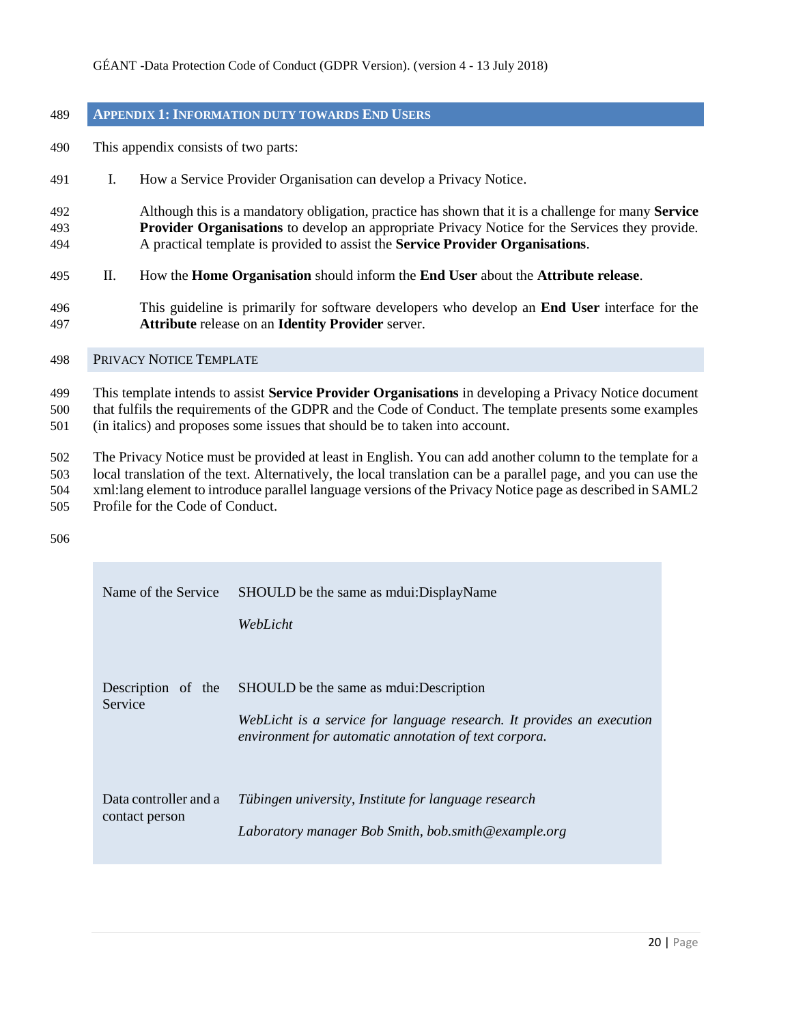## <span id="page-19-0"></span>**APPENDIX 1: INFORMATION DUTY TOWARDS END USERS**

- This appendix consists of two parts:
- I. How a Service Provider Organisation can develop a Privacy Notice.
- Although this is a mandatory obligation, practice has shown that it is a challenge for many **Service Provider Organisations** to develop an appropriate Privacy Notice for the Services they provide. A practical template is provided to assist the **Service Provider Organisations**.
- II. How the **Home Organisation** should inform the **End User** about the **Attribute release**.
- This guideline is primarily for software developers who develop an **End User** interface for the **Attribute** release on an **Identity Provider** server.

#### <span id="page-19-1"></span>PRIVACY NOTICE TEMPLATE

 This template intends to assist **Service Provider Organisations** in developing a Privacy Notice document that fulfils the requirements of the GDPR and the Code of Conduct. The template presents some examples (in italics) and proposes some issues that should be to taken into account.

 The Privacy Notice must be provided at least in English. You can add another column to the template for a local translation of the text. Alternatively, the local translation can be a parallel page, and you can use the xml:lang element to introduce parallel language versions of the Privacy Notice page as described in SAML2 Profile for the Code of Conduct.

| Name of the Service                     | SHOULD be the same as mounter DisplayName<br>WebLicht                                                                                                                       |
|-----------------------------------------|-----------------------------------------------------------------------------------------------------------------------------------------------------------------------------|
| Description of the<br>Service           | SHOULD be the same as moules. Description<br>WebLicht is a service for language research. It provides an execution<br>environment for automatic annotation of text corpora. |
| Data controller and a<br>contact person | Tübingen university, Institute for language research<br>Laboratory manager Bob Smith, bob.smith@example.org                                                                 |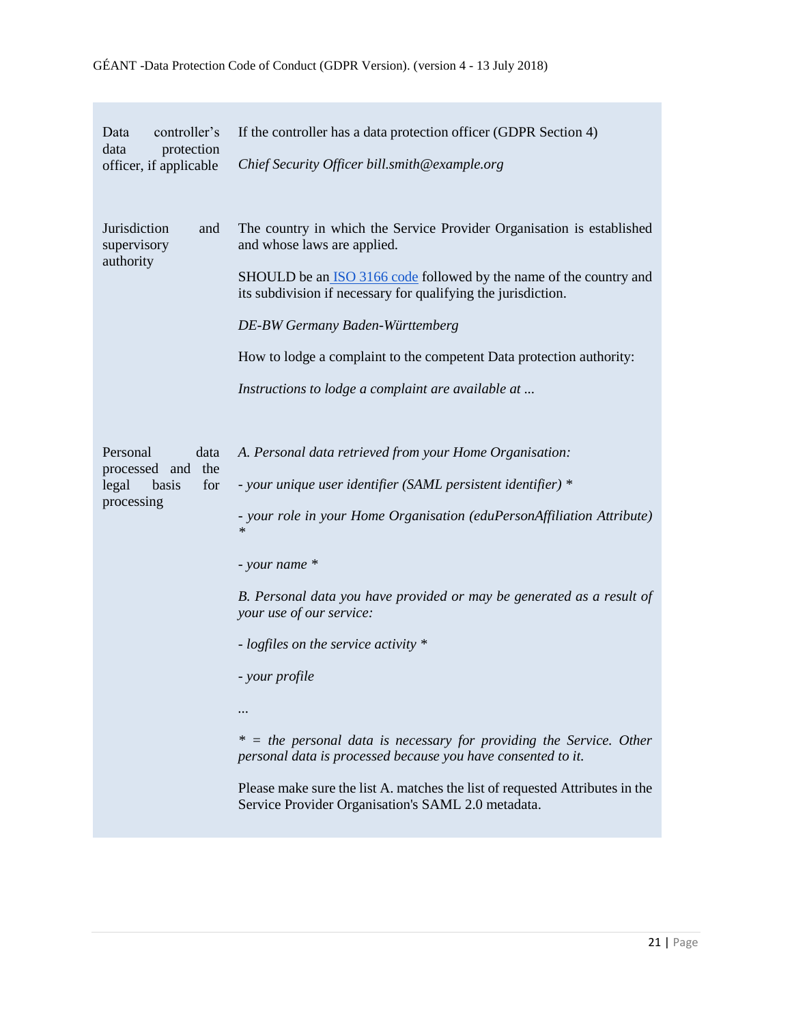# Data controller's data protection officer, if applicable If the controller has a data protection officer (GDPR Section 4) *Chief Security Officer bill.smith@example.org* Jurisdiction and supervisory authority The country in which the Service Provider Organisation is established and whose laws are applied. SHOULD be an **[ISO 3166 code](http://en.wikipedia.org/wiki/ISO_3166)** followed by the name of the country and its subdivision if necessary for qualifying the jurisdiction. *DE-BW Germany Baden-Württemberg* How to lodge a complaint to the competent Data protection authority: *Instructions to lodge a complaint are available at ...* Personal data processed and the legal basis for processing *A. Personal data retrieved from your Home Organisation: - your unique user identifier (SAML persistent identifier) \* - your role in your Home Organisation (eduPersonAffiliation Attribute) \* - your name \* B. Personal data you have provided or may be generated as a result of your use of our service: - logfiles on the service activity \* - your profile ... \* = the personal data is necessary for providing the Service. Other personal data is processed because you have consented to it.* Please make sure the list A. matches the list of requested Attributes in the Service Provider Organisation's SAML 2.0 metadata.

#### GÉANT -Data Protection Code of Conduct (GDPR Version). (version 4 - 13 July 2018)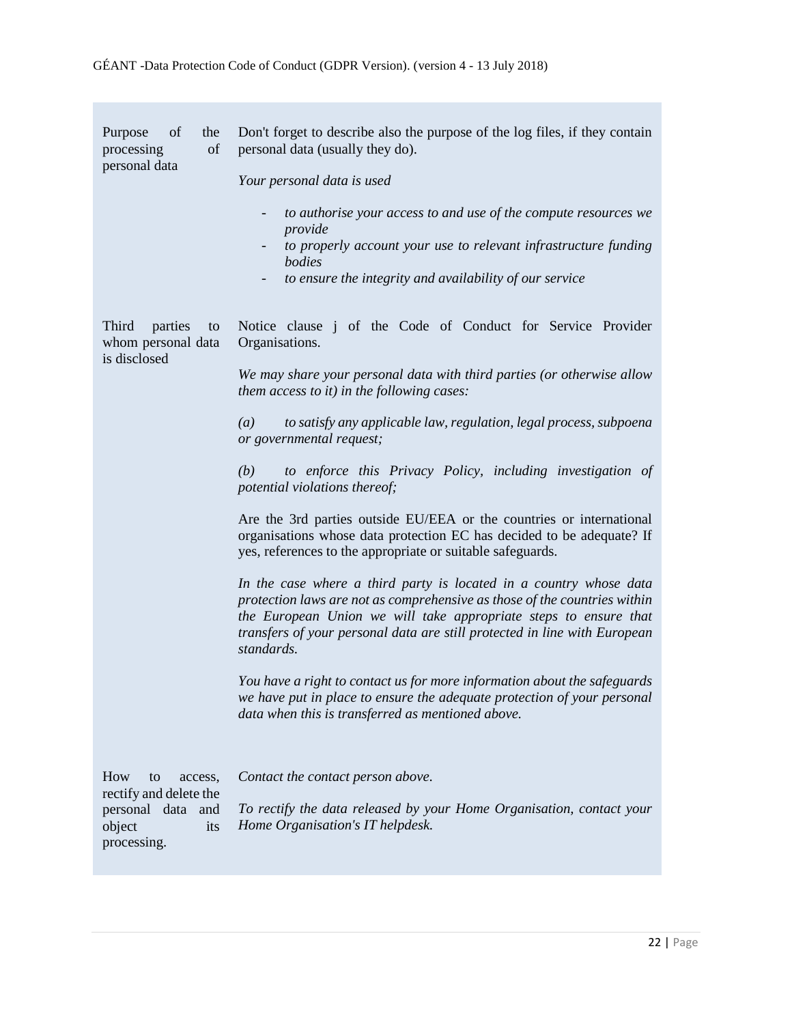| of<br>the<br>Purpose<br>of<br>processing<br>personal data                                           | Don't forget to describe also the purpose of the log files, if they contain<br>personal data (usually they do).<br>Your personal data is used<br>to authorise your access to and use of the compute resources we<br>provide<br>to properly account your use to relevant infrastructure funding<br>bodies<br>to ensure the integrity and availability of our service<br>-                                                                                                                                                                                                                                                                                                                                                                                                                                                                                                                                                                                                                                                                                                                                                                                          |
|-----------------------------------------------------------------------------------------------------|-------------------------------------------------------------------------------------------------------------------------------------------------------------------------------------------------------------------------------------------------------------------------------------------------------------------------------------------------------------------------------------------------------------------------------------------------------------------------------------------------------------------------------------------------------------------------------------------------------------------------------------------------------------------------------------------------------------------------------------------------------------------------------------------------------------------------------------------------------------------------------------------------------------------------------------------------------------------------------------------------------------------------------------------------------------------------------------------------------------------------------------------------------------------|
| Third<br>parties<br>to<br>whom personal data<br>is disclosed                                        | Notice clause j of the Code of Conduct for Service Provider<br>Organisations.<br>We may share your personal data with third parties (or otherwise allow<br>them access to it) in the following cases:<br>to satisfy any applicable law, regulation, legal process, subpoena<br>(a)<br>or governmental request;<br>to enforce this Privacy Policy, including investigation of<br>(b)<br>potential violations thereof;<br>Are the 3rd parties outside EU/EEA or the countries or international<br>organisations whose data protection EC has decided to be adequate? If<br>yes, references to the appropriate or suitable safeguards.<br>In the case where a third party is located in a country whose data<br>protection laws are not as comprehensive as those of the countries within<br>the European Union we will take appropriate steps to ensure that<br>transfers of your personal data are still protected in line with European<br>standards.<br>You have a right to contact us for more information about the safeguards<br>we have put in place to ensure the adequate protection of your personal<br>data when this is transferred as mentioned above. |
| How<br>to<br>access,<br>rectify and delete the<br>personal data and<br>object<br>its<br>processing. | Contact the contact person above.<br>To rectify the data released by your Home Organisation, contact your<br>Home Organisation's IT helpdesk.                                                                                                                                                                                                                                                                                                                                                                                                                                                                                                                                                                                                                                                                                                                                                                                                                                                                                                                                                                                                                     |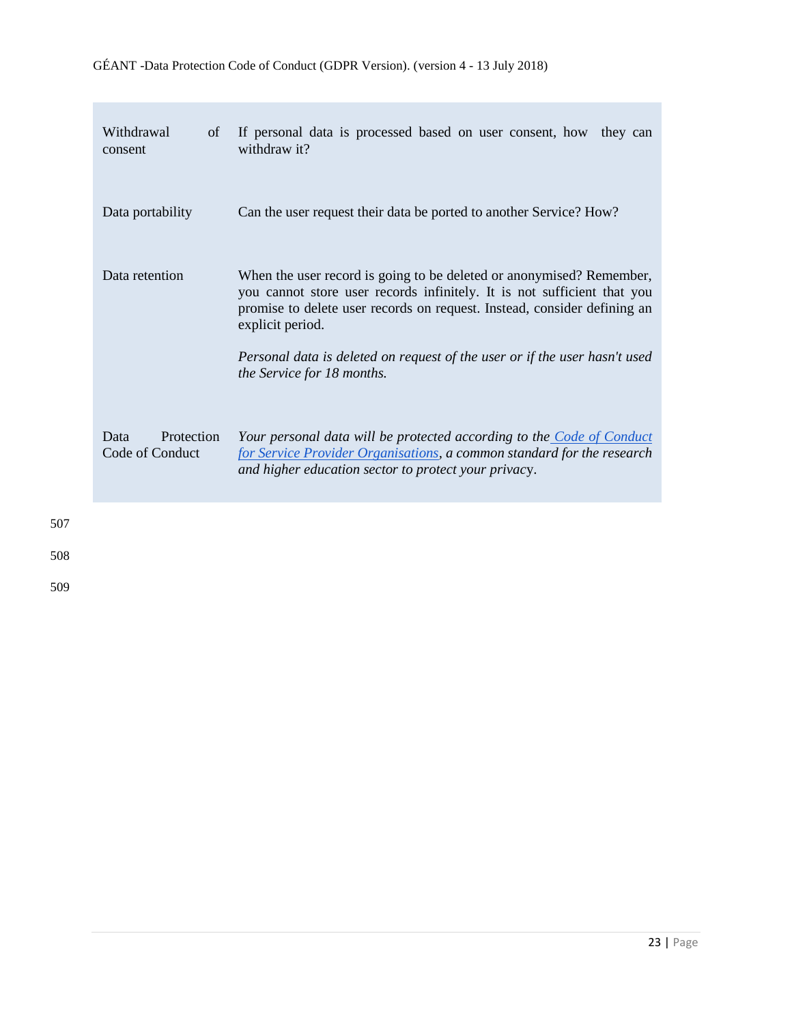| Withdrawal<br>of<br>consent           | If personal data is processed based on user consent, how they can<br>withdraw it?                                                                                                                                                               |
|---------------------------------------|-------------------------------------------------------------------------------------------------------------------------------------------------------------------------------------------------------------------------------------------------|
| Data portability                      | Can the user request their data be ported to another Service? How?                                                                                                                                                                              |
| Data retention                        | When the user record is going to be deleted or anonymised? Remember,<br>you cannot store user records infinitely. It is not sufficient that you<br>promise to delete user records on request. Instead, consider defining an<br>explicit period. |
|                                       | Personal data is deleted on request of the user or if the user hasn't used<br>the Service for 18 months.                                                                                                                                        |
| Protection<br>Data<br>Code of Conduct | Your personal data will be protected according to the Code of Conduct<br>for Service Provider Organisations, a common standard for the research<br>and higher education sector to protect your privacy.                                         |
|                                       |                                                                                                                                                                                                                                                 |

507

a sa T

508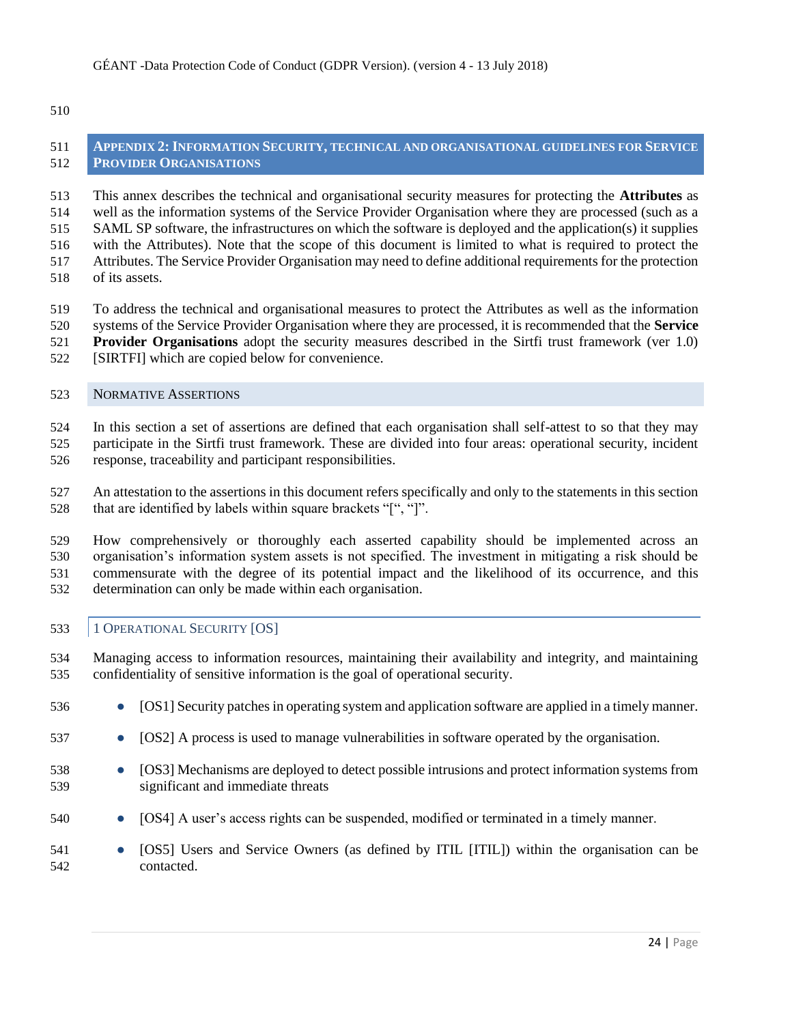#### <span id="page-23-0"></span> **APPENDIX 2:INFORMATION SECURITY, TECHNICAL AND ORGANISATIONAL GUIDELINES FOR SERVICE PROVIDER ORGANISATIONS**

 This annex describes the technical and organisational security measures for protecting the **Attributes** as well as the information systems of the Service Provider Organisation where they are processed (such as a SAML SP software, the infrastructures on which the software is deployed and the application(s) it supplies with the Attributes). Note that the scope of this document is limited to what is required to protect the Attributes. The Service Provider Organisation may need to define additional requirements for the protection of its assets.

- To address the technical and organisational measures to protect the Attributes as well as the information systems of the Service Provider Organisation where they are processed, it is recommended that the **Service**
- **Provider Organisations** adopt the security measures described in the Sirtfi trust framework (ver 1.0)
- [SIRTFI] which are copied below for convenience.

## <span id="page-23-1"></span>NORMATIVE ASSERTIONS

 In this section a set of assertions are defined that each organisation shall self-attest to so that they may participate in the Sirtfi trust framework. These are divided into four areas: operational security, incident response, traceability and participant responsibilities.

 An attestation to the assertions in this document refers specifically and only to the statements in this section 528 that are identified by labels within square brackets "[", "]".

 How comprehensively or thoroughly each asserted capability should be implemented across an organisation's information system assets is not specified. The investment in mitigating a risk should be commensurate with the degree of its potential impact and the likelihood of its occurrence, and this determination can only be made within each organisation.

## <span id="page-23-2"></span>1 OPERATIONAL SECURITY [OS]

 Managing access to information resources, maintaining their availability and integrity, and maintaining confidentiality of sensitive information is the goal of operational security.

- [OS1] Security patches in operating system and application software are applied in a timely manner.
- [OS2] A process is used to manage vulnerabilities in software operated by the organisation.
- [OS3] Mechanisms are deployed to detect possible intrusions and protect information systems from significant and immediate threats
- 540 [OS4] A user's access rights can be suspended, modified or terminated in a timely manner.
- [OS5] Users and Service Owners (as defined by ITIL [ITIL]) within the organisation can be contacted.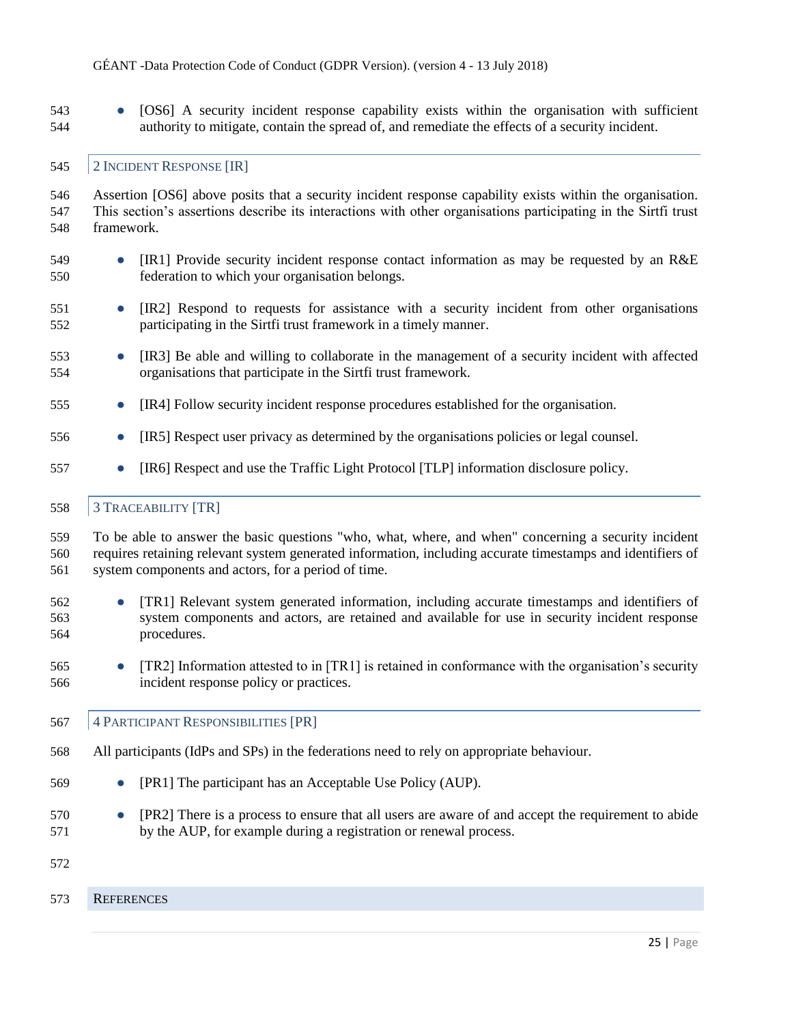● [OS6] A security incident response capability exists within the organisation with sufficient authority to mitigate, contain the spread of, and remediate the effects of a security incident.

## <span id="page-24-0"></span>2 INCIDENT RESPONSE [IR]

 Assertion [OS6] above posits that a security incident response capability exists within the organisation. This section's assertions describe its interactions with other organisations participating in the Sirtfi trust framework.

- [IR1] Provide security incident response contact information as may be requested by an R&E federation to which your organisation belongs.
- [IR2] Respond to requests for assistance with a security incident from other organisations participating in the Sirtfi trust framework in a timely manner.
- [IR3] Be able and willing to collaborate in the management of a security incident with affected organisations that participate in the Sirtfi trust framework.
- [IR4] Follow security incident response procedures established for the organisation.
- [IR5] Respect user privacy as determined by the organisations policies or legal counsel.
- [IR6] Respect and use the Traffic Light Protocol [TLP] information disclosure policy.

## <span id="page-24-1"></span>3 TRACEABILITY [TR]

 To be able to answer the basic questions "who, what, where, and when" concerning a security incident requires retaining relevant system generated information, including accurate timestamps and identifiers of system components and actors, for a period of time.

- [TR1] Relevant system generated information, including accurate timestamps and identifiers of system components and actors, are retained and available for use in security incident response procedures.
- [TR2] Information attested to in [TR1] is retained in conformance with the organisation's security incident response policy or practices.
- <span id="page-24-2"></span>4 PARTICIPANT RESPONSIBILITIES [PR]
- All participants (IdPs and SPs) in the federations need to rely on appropriate behaviour.
- **•** [PR1] The participant has an Acceptable Use Policy (AUP).
- [PR2] There is a process to ensure that all users are aware of and accept the requirement to abide by the AUP, for example during a registration or renewal process.
- 
- <span id="page-24-3"></span>REFERENCES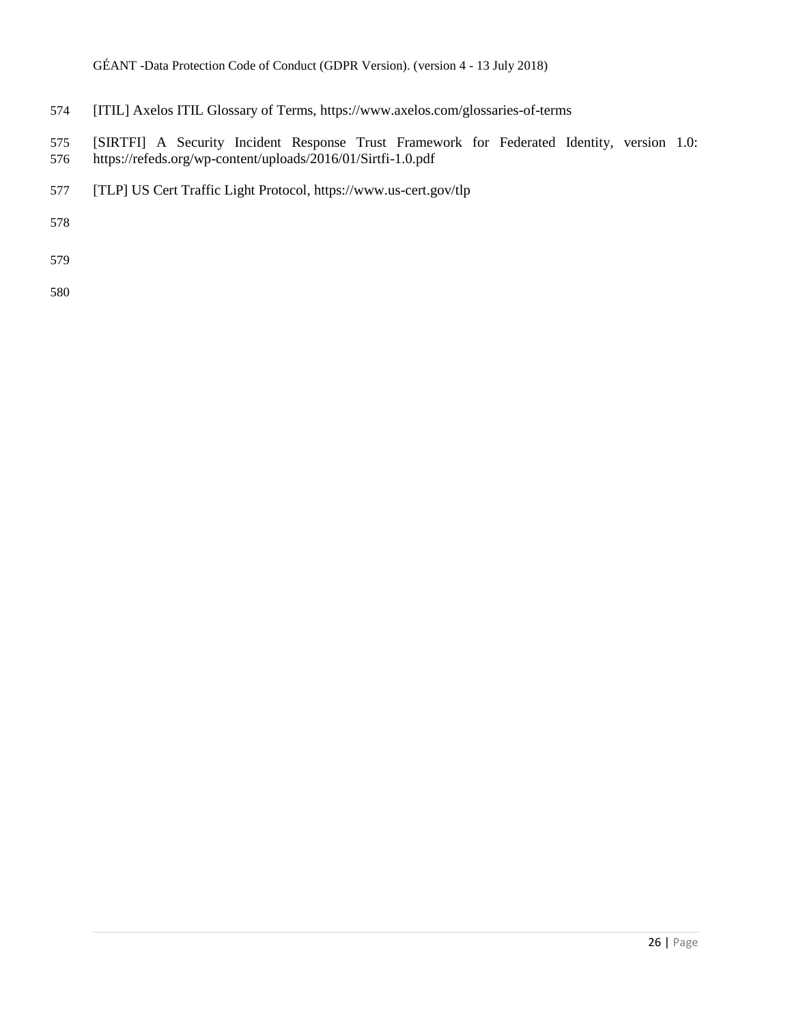- [ITIL] Axelos ITIL Glossary of Terms, <https://www.axelos.com/glossaries-of-terms>
- [SIRTFI] A Security Incident Response Trust Framework for Federated Identity, version 1.0: <https://refeds.org/wp-content/uploads/2016/01/Sirtfi-1.0.pdf>
- [TLP] US Cert Traffic Light Protocol, <https://www.us-cert.gov/tlp>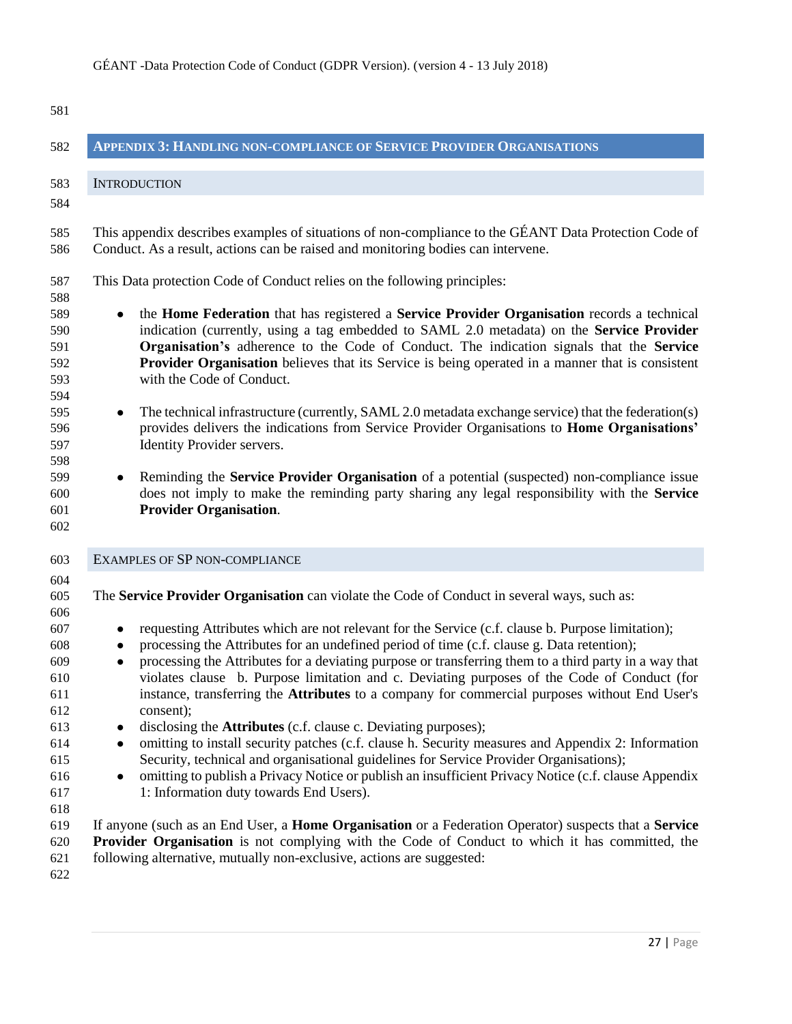<span id="page-26-2"></span><span id="page-26-1"></span><span id="page-26-0"></span>

| 582                                                                                                                               | <b>APPENDIX 3: HANDLING NON-COMPLIANCE OF SERVICE PROVIDER ORGANISATIONS</b>                                                                                                                                                                                                                                                                                                                                                                                                                                                                                                                                                                                                                                                                                                                                                                                                                                                                                                                                                                                                                                                                                                                                                                                                                                                                                                                                               |
|-----------------------------------------------------------------------------------------------------------------------------------|----------------------------------------------------------------------------------------------------------------------------------------------------------------------------------------------------------------------------------------------------------------------------------------------------------------------------------------------------------------------------------------------------------------------------------------------------------------------------------------------------------------------------------------------------------------------------------------------------------------------------------------------------------------------------------------------------------------------------------------------------------------------------------------------------------------------------------------------------------------------------------------------------------------------------------------------------------------------------------------------------------------------------------------------------------------------------------------------------------------------------------------------------------------------------------------------------------------------------------------------------------------------------------------------------------------------------------------------------------------------------------------------------------------------------|
| 583                                                                                                                               | <b>INTRODUCTION</b>                                                                                                                                                                                                                                                                                                                                                                                                                                                                                                                                                                                                                                                                                                                                                                                                                                                                                                                                                                                                                                                                                                                                                                                                                                                                                                                                                                                                        |
| 584<br>585<br>586                                                                                                                 | This appendix describes examples of situations of non-compliance to the GÉANT Data Protection Code of<br>Conduct. As a result, actions can be raised and monitoring bodies can intervene.                                                                                                                                                                                                                                                                                                                                                                                                                                                                                                                                                                                                                                                                                                                                                                                                                                                                                                                                                                                                                                                                                                                                                                                                                                  |
| 587<br>588<br>589<br>590<br>591<br>592<br>593<br>594<br>595<br>596<br>597<br>598<br>599<br>600<br>601<br>602                      | This Data protection Code of Conduct relies on the following principles:<br>the Home Federation that has registered a Service Provider Organisation records a technical<br>$\bullet$<br>indication (currently, using a tag embedded to SAML 2.0 metadata) on the Service Provider<br>Organisation's adherence to the Code of Conduct. The indication signals that the Service<br>Provider Organisation believes that its Service is being operated in a manner that is consistent<br>with the Code of Conduct.<br>The technical infrastructure (currently, SAML 2.0 metadata exchange service) that the federation(s)<br>$\bullet$<br>provides delivers the indications from Service Provider Organisations to <b>Home Organisations'</b><br>Identity Provider servers.<br>Reminding the <b>Service Provider Organisation</b> of a potential (suspected) non-compliance issue<br>$\bullet$<br>does not imply to make the reminding party sharing any legal responsibility with the Service<br><b>Provider Organisation.</b>                                                                                                                                                                                                                                                                                                                                                                                                |
| 603                                                                                                                               | EXAMPLES OF SP NON-COMPLIANCE                                                                                                                                                                                                                                                                                                                                                                                                                                                                                                                                                                                                                                                                                                                                                                                                                                                                                                                                                                                                                                                                                                                                                                                                                                                                                                                                                                                              |
| 604<br>605<br>606<br>607<br>608<br>609<br>610<br>611<br>612<br>613<br>614<br>615<br>616<br>617<br>618<br>619<br>620<br>621<br>622 | The Service Provider Organisation can violate the Code of Conduct in several ways, such as:<br>requesting Attributes which are not relevant for the Service (c.f. clause b. Purpose limitation);<br>$\bullet$<br>processing the Attributes for an undefined period of time (c.f. clause g. Data retention);<br>$\bullet$<br>processing the Attributes for a deviating purpose or transferring them to a third party in a way that<br>$\bullet$<br>violates clause b. Purpose limitation and c. Deviating purposes of the Code of Conduct (for<br>instance, transferring the Attributes to a company for commercial purposes without End User's<br>consent);<br>disclosing the <b>Attributes</b> (c.f. clause c. Deviating purposes);<br>omitting to install security patches (c.f. clause h. Security measures and Appendix 2: Information<br>$\bullet$<br>Security, technical and organisational guidelines for Service Provider Organisations);<br>omitting to publish a Privacy Notice or publish an insufficient Privacy Notice (c.f. clause Appendix<br>$\bullet$<br>1: Information duty towards End Users).<br>If anyone (such as an End User, a <b>Home Organisation</b> or a Federation Operator) suspects that a <b>Service</b><br><b>Provider Organisation</b> is not complying with the Code of Conduct to which it has committed, the<br>following alternative, mutually non-exclusive, actions are suggested: |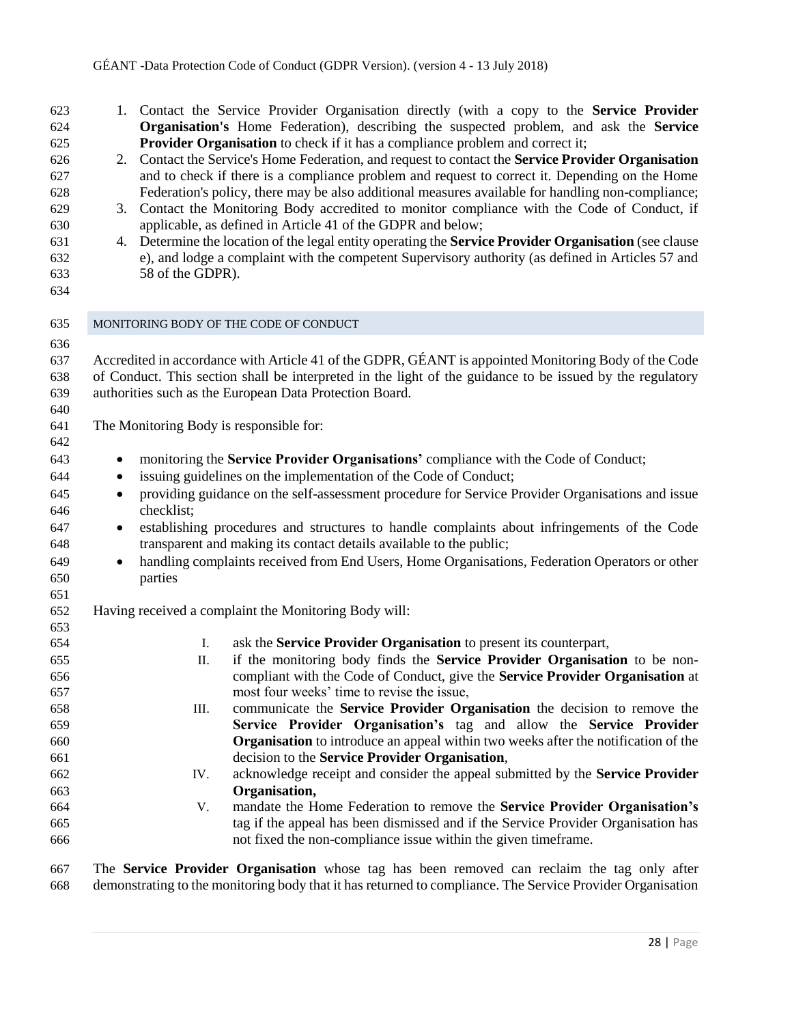<span id="page-27-0"></span>

| 623<br>624 |           | 1. Contact the Service Provider Organisation directly (with a copy to the <b>Service Provider</b><br><b>Organisation's</b> Home Federation), describing the suspected problem, and ask the <b>Service</b> |
|------------|-----------|-----------------------------------------------------------------------------------------------------------------------------------------------------------------------------------------------------------|
| 625        |           | <b>Provider Organisation</b> to check if it has a compliance problem and correct it;                                                                                                                      |
| 626        | 2.        | Contact the Service's Home Federation, and request to contact the Service Provider Organisation                                                                                                           |
| 627        |           | and to check if there is a compliance problem and request to correct it. Depending on the Home                                                                                                            |
| 628        |           | Federation's policy, there may be also additional measures available for handling non-compliance;                                                                                                         |
| 629        | 3.        | Contact the Monitoring Body accredited to monitor compliance with the Code of Conduct, if                                                                                                                 |
| 630        |           | applicable, as defined in Article 41 of the GDPR and below;                                                                                                                                               |
| 631        |           | 4. Determine the location of the legal entity operating the <b>Service Provider Organisation</b> (see clause                                                                                              |
| 632        |           | e), and lodge a complaint with the competent Supervisory authority (as defined in Articles 57 and                                                                                                         |
| 633        |           | 58 of the GDPR).                                                                                                                                                                                          |
| 634        |           |                                                                                                                                                                                                           |
| 635        |           | MONITORING BODY OF THE CODE OF CONDUCT                                                                                                                                                                    |
| 636        |           |                                                                                                                                                                                                           |
| 637        |           | Accredited in accordance with Article 41 of the GDPR, GÉANT is appointed Monitoring Body of the Code                                                                                                      |
| 638        |           | of Conduct. This section shall be interpreted in the light of the guidance to be issued by the regulatory                                                                                                 |
| 639        |           | authorities such as the European Data Protection Board.                                                                                                                                                   |
| 640        |           |                                                                                                                                                                                                           |
| 641        |           | The Monitoring Body is responsible for:                                                                                                                                                                   |
| 642        |           |                                                                                                                                                                                                           |
| 643        |           | monitoring the Service Provider Organisations' compliance with the Code of Conduct;                                                                                                                       |
| 644        | $\bullet$ | issuing guidelines on the implementation of the Code of Conduct;                                                                                                                                          |
| 645        | $\bullet$ | providing guidance on the self-assessment procedure for Service Provider Organisations and issue                                                                                                          |
| 646        |           | checklist;                                                                                                                                                                                                |
| 647        | $\bullet$ | establishing procedures and structures to handle complaints about infringements of the Code                                                                                                               |
| 648        |           | transparent and making its contact details available to the public;                                                                                                                                       |
| 649        | $\bullet$ | handling complaints received from End Users, Home Organisations, Federation Operators or other                                                                                                            |
| 650        |           | parties                                                                                                                                                                                                   |
| 651        |           |                                                                                                                                                                                                           |
| 652        |           | Having received a complaint the Monitoring Body will:                                                                                                                                                     |
| 653        |           |                                                                                                                                                                                                           |
| 654        |           | ask the Service Provider Organisation to present its counterpart,<br>Ι.                                                                                                                                   |
| 655        |           | if the monitoring body finds the Service Provider Organisation to be non-<br>Π.                                                                                                                           |
| 656        |           | compliant with the Code of Conduct, give the Service Provider Organisation at                                                                                                                             |
| 657        |           | most four weeks' time to revise the issue,                                                                                                                                                                |
| 658        |           | communicate the Service Provider Organisation the decision to remove the<br>III.                                                                                                                          |
| 659        |           | Service Provider Organisation's tag and allow the Service Provider                                                                                                                                        |
| 660        |           | Organisation to introduce an appeal within two weeks after the notification of the                                                                                                                        |
| 661        |           | decision to the Service Provider Organisation,                                                                                                                                                            |
| 662        |           | acknowledge receipt and consider the appeal submitted by the Service Provider<br>IV.                                                                                                                      |
| 663        |           | Organisation,                                                                                                                                                                                             |
| 664        |           | mandate the Home Federation to remove the <b>Service Provider Organisation's</b><br>V.                                                                                                                    |
| 665        |           | tag if the appeal has been dismissed and if the Service Provider Organisation has                                                                                                                         |
| 666        |           | not fixed the non-compliance issue within the given timeframe.                                                                                                                                            |
| 667        |           | The <b>Service Provider Organisation</b> whose two has been removed can reclaim the two only after                                                                                                        |

 The **Service Provider Organisation** whose tag has been removed can reclaim the tag only after demonstrating to the monitoring body that it has returned to compliance. The Service Provider Organisation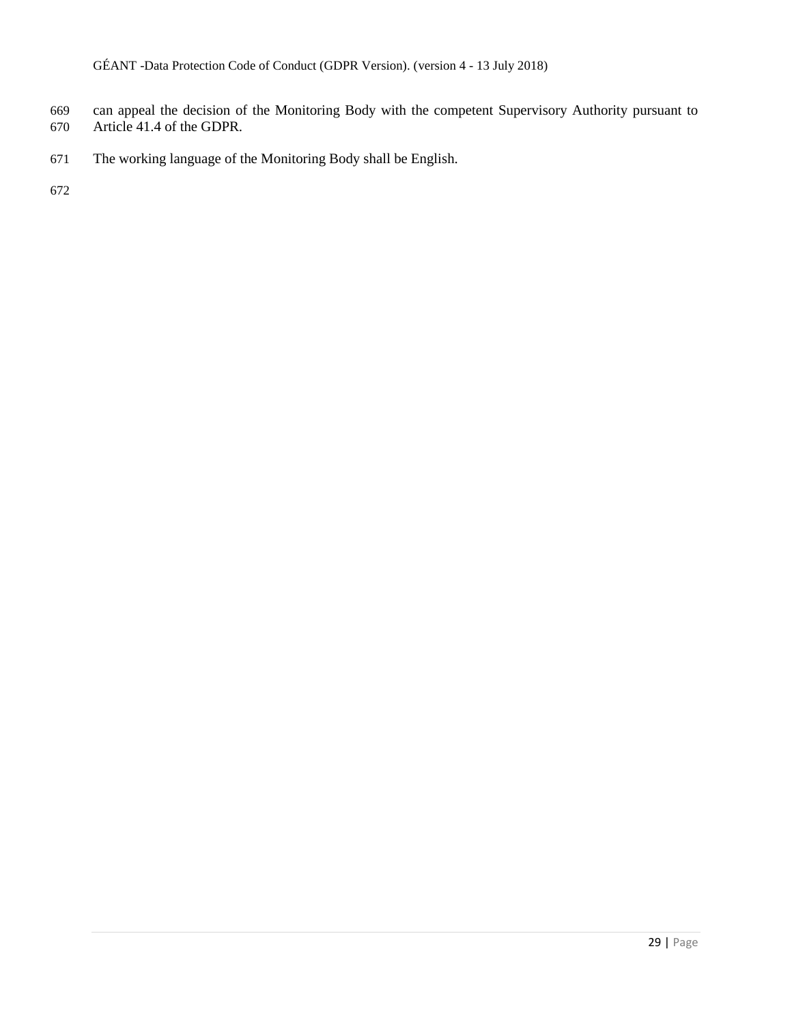- can appeal the decision of the Monitoring Body with the competent Supervisory Authority pursuant to
- Article 41.4 of the GDPR.
- The working language of the Monitoring Body shall be English.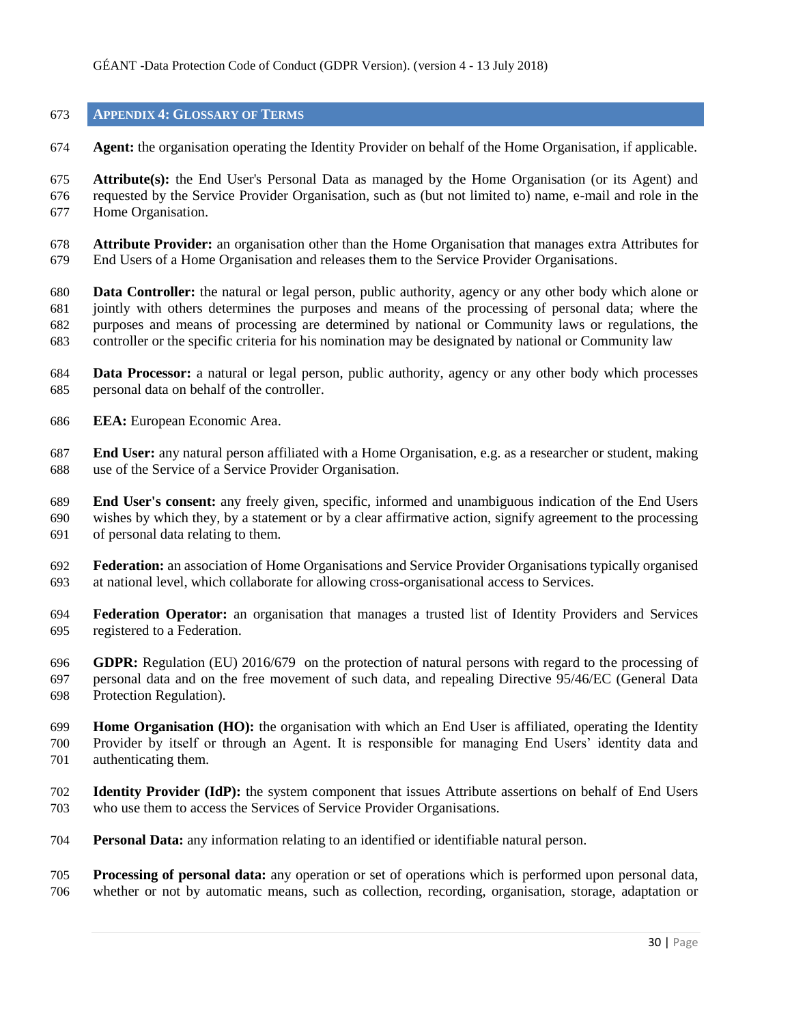## <span id="page-29-0"></span>**APPENDIX 4: GLOSSARY OF TERMS**

**Agent:** the organisation operating the Identity Provider on behalf of the Home Organisation, if applicable.

 **Attribute(s):** the End User's Personal Data as managed by the Home Organisation (or its Agent) and requested by the Service Provider Organisation, such as (but not limited to) name, e-mail and role in the Home Organisation.

 **Attribute Provider:** an organisation other than the Home Organisation that manages extra Attributes for End Users of a Home Organisation and releases them to the Service Provider Organisations.

 **Data Controller:** the natural or legal person, public authority, agency or any other body which alone or jointly with others determines the purposes and means of the processing of personal data; where the purposes and means of processing are determined by national or Community laws or regulations, the controller or the specific criteria for his nomination may be designated by national or Community law

- **Data Processor:** a natural or legal person, public authority, agency or any other body which processes personal data on behalf of the controller.
- **EEA:** European Economic Area.

 **End User:** any natural person affiliated with a Home Organisation, e.g. as a researcher or student, making use of the Service of a Service Provider Organisation.

 **End User's consent:** any freely given, specific, informed and unambiguous indication of the End Users wishes by which they, by a statement or by a clear affirmative action, signify agreement to the processing of personal data relating to them.

- **Federation:** an association of Home Organisations and Service Provider Organisations typically organised at national level, which collaborate for allowing cross-organisational access to Services.
- **Federation Operator:** an organisation that manages a trusted list of Identity Providers and Services registered to a Federation.

 **GDPR:** Regulation (EU) 2016/679 on the protection of natural persons with regard to the processing of personal data and on the free movement of such data, and repealing Directive 95/46/EC (General Data Protection Regulation).

- **Home Organisation (HO):** the organisation with which an End User is affiliated, operating the Identity Provider by itself or through an Agent. It is responsible for managing End Users' identity data and authenticating them.
- **Identity Provider (IdP):** the system component that issues Attribute assertions on behalf of End Users who use them to access the Services of Service Provider Organisations.
- **Personal Data:** any information relating to an identified or identifiable natural person.
- **Processing of personal data:** any operation or set of operations which is performed upon personal data, whether or not by automatic means, such as collection, recording, organisation, storage, adaptation or